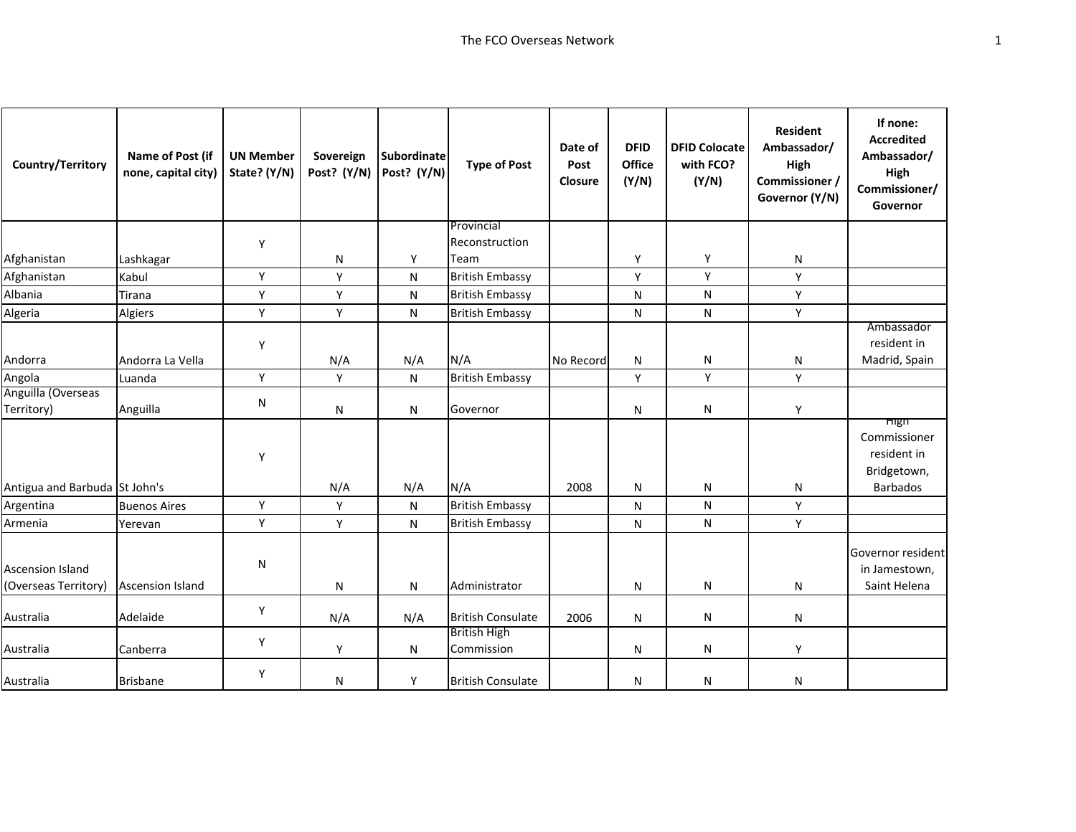| Country/Territory                               | Name of Post (if<br>none, capital city) | <b>UN Member</b><br>State? (Y/N) | Sovereign<br>Post? (Y/N) | <b>Subordinate</b><br>Post? (Y/N) | <b>Type of Post</b>               | Date of<br>Post<br>Closure | <b>DFID</b><br><b>Office</b><br>(Y/N) | <b>DFID Colocate</b><br>with FCO?<br>(Y/N) | <b>Resident</b><br>Ambassador/<br>High<br>Commissioner /<br>Governor (Y/N) | If none:<br><b>Accredited</b><br>Ambassador/<br>High<br>Commissioner/<br>Governor |
|-------------------------------------------------|-----------------------------------------|----------------------------------|--------------------------|-----------------------------------|-----------------------------------|----------------------------|---------------------------------------|--------------------------------------------|----------------------------------------------------------------------------|-----------------------------------------------------------------------------------|
|                                                 |                                         |                                  |                          |                                   | Provincial                        |                            |                                       |                                            |                                                                            |                                                                                   |
|                                                 |                                         | Y                                |                          |                                   | Reconstruction                    |                            |                                       |                                            |                                                                            |                                                                                   |
| Afghanistan                                     | Lashkagar                               |                                  | N                        | Y                                 | Team                              |                            | Υ                                     | Y                                          | N                                                                          |                                                                                   |
| Afghanistan                                     | Kabul                                   | Y                                | Y                        | N                                 | <b>British Embassy</b>            |                            | Y                                     | Y                                          | Y                                                                          |                                                                                   |
| Albania                                         | Tirana                                  | $\mathsf Y$                      | Y                        | ${\sf N}$                         | <b>British Embassy</b>            |                            | ${\sf N}$                             | ${\sf N}$                                  | Y                                                                          |                                                                                   |
| Algeria                                         | Algiers                                 | Y                                | Y                        | N                                 | <b>British Embassy</b>            |                            | N                                     | N                                          | Y                                                                          |                                                                                   |
| Andorra                                         | Andorra La Vella                        | Y                                | N/A                      | N/A                               | N/A                               | No Record                  | N                                     | $\mathsf{N}$                               | N                                                                          | Ambassador<br>resident in<br>Madrid, Spain                                        |
| Angola                                          | Luanda                                  | Y                                | Y                        | N                                 | <b>British Embassy</b>            |                            | Y                                     | Y                                          | Y                                                                          |                                                                                   |
| Anguilla (Overseas<br>Territory)                | Anguilla                                | N                                | ${\sf N}$                | ${\sf N}$                         | Governor                          |                            | N                                     | ${\sf N}$                                  | Y                                                                          |                                                                                   |
| Antigua and Barbuda St John's                   |                                         | Y                                | N/A                      | N/A                               | N/A                               | 2008                       | N                                     | N                                          | N                                                                          | High<br>Commissioner<br>resident in<br>Bridgetown,<br><b>Barbados</b>             |
| Argentina                                       | <b>Buenos Aires</b>                     | Y                                | Y                        | N                                 | <b>British Embassy</b>            |                            | N                                     | N                                          | Y                                                                          |                                                                                   |
| Armenia                                         | Yerevan                                 | Y                                | Y                        | N                                 | <b>British Embassy</b>            |                            | ${\sf N}$                             | ${\sf N}$                                  | Y                                                                          |                                                                                   |
| <b>Ascension Island</b><br>(Overseas Territory) | <b>Ascension Island</b>                 | ${\sf N}$                        | N                        | N                                 | Administrator                     |                            | N                                     | N                                          | N                                                                          | Governor resident<br>in Jamestown,<br>Saint Helena                                |
| Australia                                       | Adelaide                                | Y                                | N/A                      | N/A                               | <b>British Consulate</b>          | 2006                       | N                                     | $\mathsf{N}$                               | N                                                                          |                                                                                   |
| Australia                                       | Canberra                                | Y                                | Y                        | N                                 | <b>British High</b><br>Commission |                            | N                                     | N                                          | Y                                                                          |                                                                                   |
| Australia                                       | <b>Brisbane</b>                         | Y                                | N                        | Y                                 | <b>British Consulate</b>          |                            | N                                     | N                                          | N                                                                          |                                                                                   |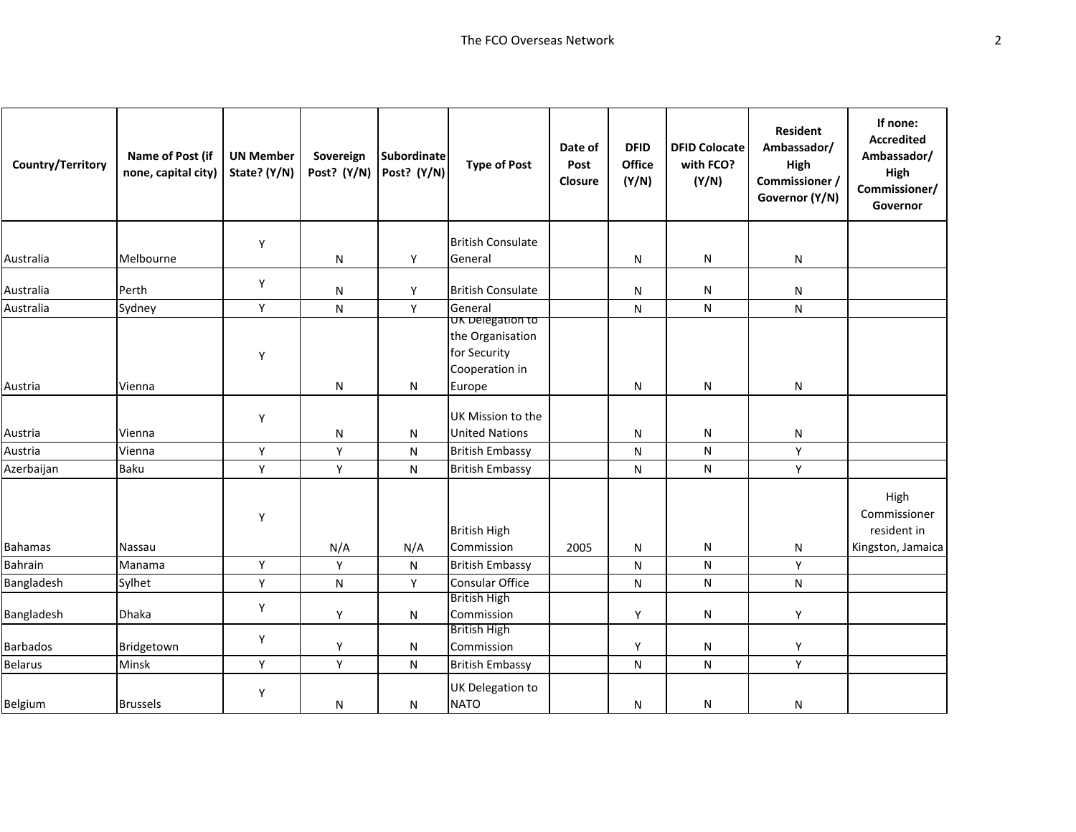| Country/Territory | Name of Post (if<br>none, capital city) | <b>UN Member</b><br>State? (Y/N) | Sovereign<br>Post? (Y/N) | <b>Subordinate</b><br>Post? (Y/N) | <b>Type of Post</b>                                                              | Date of<br>Post<br>Closure | <b>DFID</b><br>Office<br>(Y/N) | <b>DFID Colocate</b><br>with FCO?<br>(Y/N) | <b>Resident</b><br>Ambassador/<br>High<br>Commissioner /<br>Governor (Y/N) | If none:<br><b>Accredited</b><br>Ambassador/<br>High<br>Commissioner/<br>Governor |
|-------------------|-----------------------------------------|----------------------------------|--------------------------|-----------------------------------|----------------------------------------------------------------------------------|----------------------------|--------------------------------|--------------------------------------------|----------------------------------------------------------------------------|-----------------------------------------------------------------------------------|
|                   |                                         | Υ                                |                          |                                   | <b>British Consulate</b>                                                         |                            |                                |                                            |                                                                            |                                                                                   |
| Australia         | Melbourne                               |                                  | ${\sf N}$                | Υ                                 | General                                                                          |                            | N                              | N                                          | N                                                                          |                                                                                   |
| Australia         | Perth                                   | Y                                | N                        | Y                                 | <b>British Consulate</b>                                                         |                            | N                              | ${\sf N}$                                  | N                                                                          |                                                                                   |
| Australia         | Sydney                                  | Y                                | N                        | Y                                 | General                                                                          |                            | N                              | ${\sf N}$                                  | N                                                                          |                                                                                   |
| Austria           | Vienna                                  | Υ                                | N                        | N                                 | UK Delegation to<br>the Organisation<br>for Security<br>Cooperation in<br>Europe |                            | N                              | ${\sf N}$                                  | N                                                                          |                                                                                   |
|                   |                                         |                                  |                          |                                   |                                                                                  |                            |                                |                                            |                                                                            |                                                                                   |
| Austria           | Vienna                                  | Υ                                | N                        | N                                 | UK Mission to the<br><b>United Nations</b>                                       |                            | N                              | ${\sf N}$                                  | N                                                                          |                                                                                   |
| Austria           | Vienna                                  | Y                                | Υ                        | ${\sf N}$                         | <b>British Embassy</b>                                                           |                            | N                              | ${\sf N}$                                  | Y                                                                          |                                                                                   |
| Azerbaijan        | <b>Baku</b>                             | Y                                | Υ                        | N                                 | <b>British Embassy</b>                                                           |                            | N                              | ${\sf N}$                                  | Y                                                                          |                                                                                   |
| <b>Bahamas</b>    | Nassau                                  | Υ                                | N/A                      | N/A                               | <b>British High</b><br>Commission                                                | 2005                       | N                              | ${\sf N}$                                  | N                                                                          | High<br>Commissioner<br>resident in<br>Kingston, Jamaica                          |
| Bahrain           | Manama                                  | Υ                                | Υ                        | ${\sf N}$                         | <b>British Embassy</b>                                                           |                            | N                              | ${\sf N}$                                  | Y                                                                          |                                                                                   |
| Bangladesh        | Sylhet                                  | Υ                                | N                        | Y                                 | <b>Consular Office</b>                                                           |                            | N                              | ${\sf N}$                                  | N                                                                          |                                                                                   |
| Bangladesh        | <b>Dhaka</b>                            | Υ                                | Y                        | N                                 | <b>British High</b><br>Commission                                                |                            | Y                              | ${\sf N}$                                  | Y                                                                          |                                                                                   |
| <b>Barbados</b>   | Bridgetown                              | Υ                                | Υ                        | N                                 | <b>British High</b><br>Commission                                                |                            | Υ                              | ${\sf N}$                                  | Υ                                                                          |                                                                                   |
| <b>Belarus</b>    | Minsk                                   | Y                                | Y                        | N                                 | <b>British Embassy</b>                                                           |                            | N                              | ${\sf N}$                                  | Y                                                                          |                                                                                   |
| Belgium           | <b>Brussels</b>                         | Υ                                | ${\sf N}$                | N                                 | UK Delegation to<br><b>NATO</b>                                                  |                            | N                              | N                                          | N                                                                          |                                                                                   |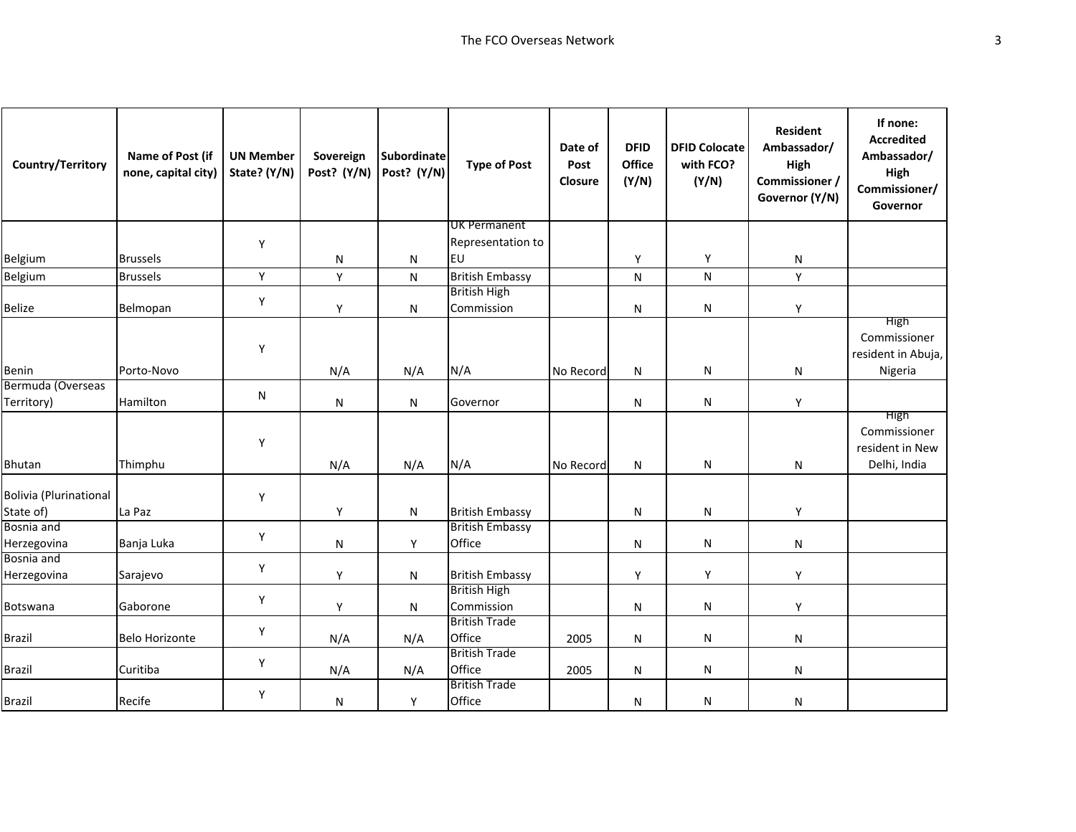| Country/Territory               | Name of Post (if<br>none, capital city) | <b>UN Member</b><br>State? (Y/N) | Sovereign<br>Post? (Y/N) | <b>Subordinate</b><br>Post? (Y/N) | <b>Type of Post</b>               | Date of<br>Post<br>Closure | <b>DFID</b><br>Office<br>(Y/N) | <b>DFID Colocate</b><br>with FCO?<br>(Y/N) | <b>Resident</b><br>Ambassador/<br>High<br>Commissioner /<br>Governor (Y/N) | If none:<br><b>Accredited</b><br>Ambassador/<br>High<br>Commissioner/<br>Governor |
|---------------------------------|-----------------------------------------|----------------------------------|--------------------------|-----------------------------------|-----------------------------------|----------------------------|--------------------------------|--------------------------------------------|----------------------------------------------------------------------------|-----------------------------------------------------------------------------------|
|                                 |                                         |                                  |                          |                                   | <b>UK Permanent</b>               |                            |                                |                                            |                                                                            |                                                                                   |
|                                 |                                         | Υ                                |                          |                                   | Representation to                 |                            |                                |                                            |                                                                            |                                                                                   |
| Belgium                         | <b>Brussels</b>                         |                                  | N                        | ${\sf N}$                         | EU                                |                            | Υ                              | Y                                          | N                                                                          |                                                                                   |
| Belgium                         | <b>Brussels</b>                         | Υ                                | Υ                        | N                                 | <b>British Embassy</b>            |                            | N                              | ${\sf N}$                                  | Y                                                                          |                                                                                   |
| <b>Belize</b>                   | Belmopan                                | Υ                                | Y                        | ${\sf N}$                         | <b>British High</b><br>Commission |                            | N                              | N                                          | Υ                                                                          |                                                                                   |
|                                 |                                         | Υ                                |                          |                                   |                                   |                            |                                |                                            |                                                                            | High<br>Commissioner<br>resident in Abuja,                                        |
| Benin                           | Porto-Novo                              |                                  | N/A                      | N/A                               | N/A                               | No Record                  | ${\sf N}$                      | N                                          | N                                                                          | Nigeria                                                                           |
| Bermuda (Overseas<br>Territory) | Hamilton                                | N                                | ${\sf N}$                | ${\sf N}$                         | Governor                          |                            | N                              | N                                          | Y                                                                          |                                                                                   |
| Bhutan                          | Thimphu                                 | Υ                                | N/A                      | N/A                               | N/A                               | No Record                  | N                              | N                                          | N                                                                          | High<br>Commissioner<br>resident in New<br>Delhi, India                           |
| <b>Bolivia (Plurinational</b>   |                                         | Υ                                |                          |                                   |                                   |                            |                                |                                            |                                                                            |                                                                                   |
| State of)                       | La Paz                                  |                                  | Y                        | N                                 | <b>British Embassy</b>            |                            | N                              | N                                          | Υ                                                                          |                                                                                   |
| Bosnia and<br>Herzegovina       | Banja Luka                              | Υ                                | N                        | Y                                 | <b>British Embassy</b><br>Office  |                            | N                              | N                                          | N                                                                          |                                                                                   |
| Bosnia and                      |                                         | Υ                                |                          |                                   |                                   |                            |                                |                                            |                                                                            |                                                                                   |
| Herzegovina                     | Sarajevo                                |                                  | Y                        | N                                 | <b>British Embassy</b>            |                            | Y                              | Y                                          | Y                                                                          |                                                                                   |
| Botswana                        | Gaborone                                | Υ                                | Y                        | N                                 | <b>British High</b><br>Commission |                            | N                              | N                                          | Υ                                                                          |                                                                                   |
| <b>Brazil</b>                   | <b>Belo Horizonte</b>                   | Υ                                | N/A                      | N/A                               | <b>British Trade</b><br>Office    | 2005                       | N                              | N                                          | N                                                                          |                                                                                   |
| <b>Brazil</b>                   | Curitiba                                | Υ                                | N/A                      | N/A                               | <b>British Trade</b><br>Office    | 2005                       | N                              | ${\sf N}$                                  | N                                                                          |                                                                                   |
| Brazil                          | Recife                                  | Υ                                | N                        | Y                                 | <b>British Trade</b><br>Office    |                            | N                              | N                                          | N                                                                          |                                                                                   |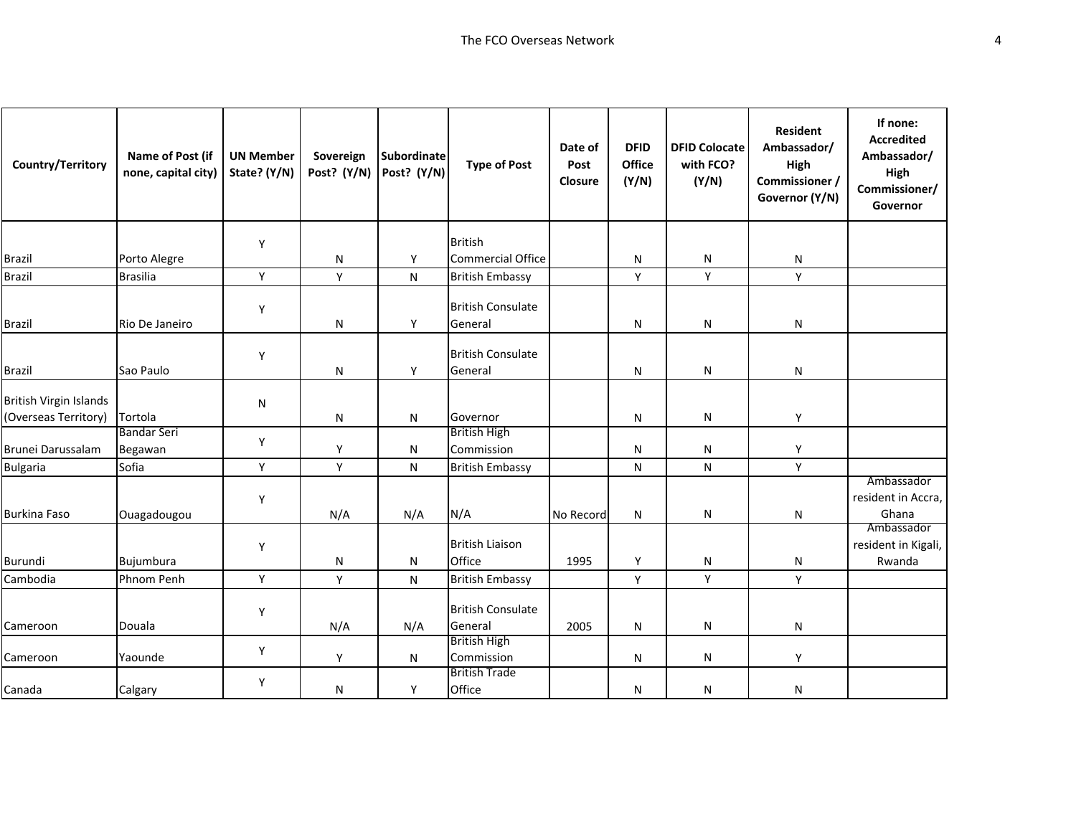| Country/Territory                                     | Name of Post (if<br>none, capital city) | <b>UN Member</b><br>State? (Y/N) | Sovereign<br>Post? (Y/N) | <b>Subordinate</b><br>Post? (Y/N) | <b>Type of Post</b>                 | Date of<br>Post<br>Closure | <b>DFID</b><br>Office<br>(Y/N) | <b>DFID Colocate</b><br>with FCO?<br>(Y/N) | <b>Resident</b><br>Ambassador/<br>High<br>Commissioner /<br>Governor (Y/N) | If none:<br><b>Accredited</b><br>Ambassador/<br>High<br>Commissioner/<br>Governor |
|-------------------------------------------------------|-----------------------------------------|----------------------------------|--------------------------|-----------------------------------|-------------------------------------|----------------------------|--------------------------------|--------------------------------------------|----------------------------------------------------------------------------|-----------------------------------------------------------------------------------|
|                                                       |                                         | Υ                                |                          |                                   | <b>British</b>                      |                            |                                |                                            |                                                                            |                                                                                   |
| <b>Brazil</b>                                         | Porto Alegre                            |                                  | N                        | Υ                                 | <b>Commercial Office</b>            |                            | N                              | ${\sf N}$                                  | N                                                                          |                                                                                   |
| <b>Brazil</b>                                         | <b>Brasilia</b>                         | Υ                                | Υ                        | ${\sf N}$                         | <b>British Embassy</b>              |                            | Y                              | Y                                          | Y                                                                          |                                                                                   |
| <b>Brazil</b>                                         | Rio De Janeiro                          | Υ                                | $\mathsf{N}$             | Y                                 | <b>British Consulate</b><br>General |                            | N                              | N                                          | N                                                                          |                                                                                   |
| <b>Brazil</b>                                         | Sao Paulo                               | Y                                | N                        | Y                                 | <b>British Consulate</b><br>General |                            | N                              | ${\sf N}$                                  | N                                                                          |                                                                                   |
| <b>British Virgin Islands</b><br>(Overseas Territory) | Tortola                                 | N                                | N                        | N                                 | Governor                            |                            | N                              | N                                          | Υ                                                                          |                                                                                   |
| Brunei Darussalam                                     | <b>Bandar Seri</b><br>Begawan           | Y                                | Y                        | N                                 | <b>British High</b><br>Commission   |                            | N                              | N                                          | Υ                                                                          |                                                                                   |
| <b>Bulgaria</b>                                       | Sofia                                   | Υ                                | Υ                        | ${\sf N}$                         | <b>British Embassy</b>              |                            | N                              | ${\sf N}$                                  | Υ                                                                          |                                                                                   |
| <b>Burkina Faso</b>                                   | Ouagadougou                             | Υ                                | N/A                      | N/A                               | N/A                                 | No Record                  | N                              | N                                          | N                                                                          | Ambassador<br>resident in Accra,<br>Ghana<br>Ambassador                           |
| Burundi                                               | Bujumbura                               | Y                                | $\mathsf{N}$             | N                                 | <b>British Liaison</b><br>Office    | 1995                       | Y                              | N                                          | N                                                                          | resident in Kigali,<br>Rwanda                                                     |
| Cambodia                                              | Phnom Penh                              | Υ                                | Υ                        | ${\sf N}$                         | <b>British Embassy</b>              |                            | Υ                              | Υ                                          | Y                                                                          |                                                                                   |
| Cameroon                                              | Douala                                  | Υ                                | N/A                      | N/A                               | <b>British Consulate</b><br>General | 2005                       | N                              | N                                          | N                                                                          |                                                                                   |
| Cameroon                                              | Yaounde                                 | Υ                                | Υ                        | N                                 | <b>British High</b><br>Commission   |                            | N                              | N                                          | Υ                                                                          |                                                                                   |
| Canada                                                | Calgary                                 | Υ                                | N                        | Υ                                 | <b>British Trade</b><br>Office      |                            | N                              | N                                          | N                                                                          |                                                                                   |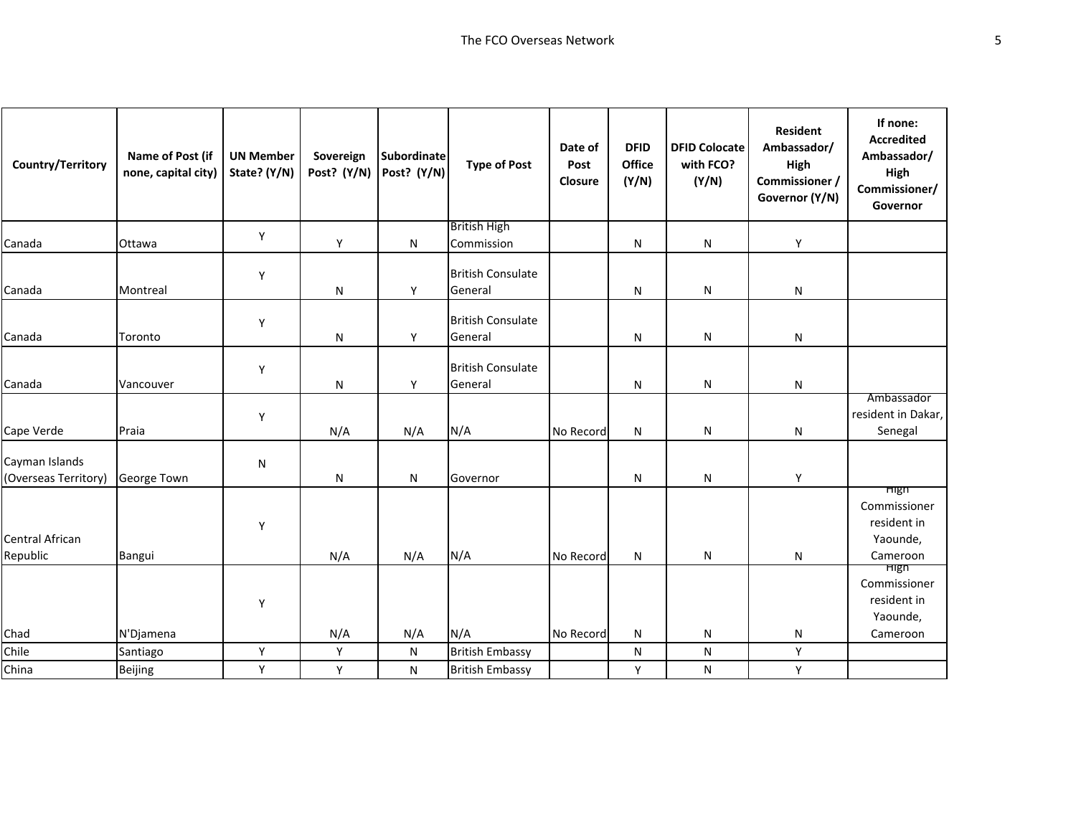| Country/Territory                      | Name of Post (if<br>none, capital city) | <b>UN Member</b><br>State? (Y/N) | Sovereign<br>Post? (Y/N) | <b>Subordinate</b><br>Post? (Y/N) | <b>Type of Post</b>                 | Date of<br>Post<br>Closure | <b>DFID</b><br>Office<br>(Y/N) | <b>DFID Colocate</b><br>with FCO?<br>(Y/N) | <b>Resident</b><br>Ambassador/<br>High<br>Commissioner /<br>Governor (Y/N) | If none:<br><b>Accredited</b><br>Ambassador/<br>High<br>Commissioner/<br>Governor |
|----------------------------------------|-----------------------------------------|----------------------------------|--------------------------|-----------------------------------|-------------------------------------|----------------------------|--------------------------------|--------------------------------------------|----------------------------------------------------------------------------|-----------------------------------------------------------------------------------|
|                                        |                                         | Y                                |                          |                                   | <b>British High</b>                 |                            |                                |                                            |                                                                            |                                                                                   |
| Canada                                 | Ottawa                                  |                                  | Y                        | N                                 | Commission                          |                            | N                              | N                                          | Y                                                                          |                                                                                   |
| Canada                                 | Montreal                                | Y                                | $\mathsf{N}$             | Y                                 | <b>British Consulate</b><br>General |                            | N                              | N                                          | N                                                                          |                                                                                   |
| Canada                                 | Toronto                                 | Y                                | N                        | Υ                                 | <b>British Consulate</b><br>General |                            | N                              | N                                          | N                                                                          |                                                                                   |
| Canada                                 | Vancouver                               | Y                                | N                        | Y                                 | <b>British Consulate</b><br>General |                            | N                              | ${\sf N}$                                  | N                                                                          |                                                                                   |
| Cape Verde                             | Praia                                   | Y                                | N/A                      | N/A                               | N/A                                 | No Record                  | N                              | N                                          | N                                                                          | Ambassador<br>resident in Dakar,<br>Senegal                                       |
| Cayman Islands<br>(Overseas Territory) | George Town                             | ${\sf N}$                        | N                        | ${\sf N}$                         | Governor                            |                            | Ν                              | N                                          | Υ                                                                          |                                                                                   |
| <b>Central African</b><br>Republic     | Bangui                                  | Y                                | N/A                      | N/A                               | N/A                                 | No Record                  | N                              | N                                          | N                                                                          | <b>High</b><br>Commissioner<br>resident in<br>Yaounde,<br>Cameroon                |
| Chad                                   | N'Djamena                               | Υ                                | N/A                      | N/A                               | N/A                                 | No Record                  | N                              | N                                          | N                                                                          | <b>High</b><br>Commissioner<br>resident in<br>Yaounde,<br>Cameroon                |
| Chile                                  | Santiago                                | Υ                                | Y                        | $\mathsf{N}$                      | <b>British Embassy</b>              |                            | N                              | ${\sf N}$                                  | Υ                                                                          |                                                                                   |
| China                                  | Beijing                                 | Y                                | Y                        | ${\sf N}$                         | <b>British Embassy</b>              |                            | Y                              | N                                          | Y                                                                          |                                                                                   |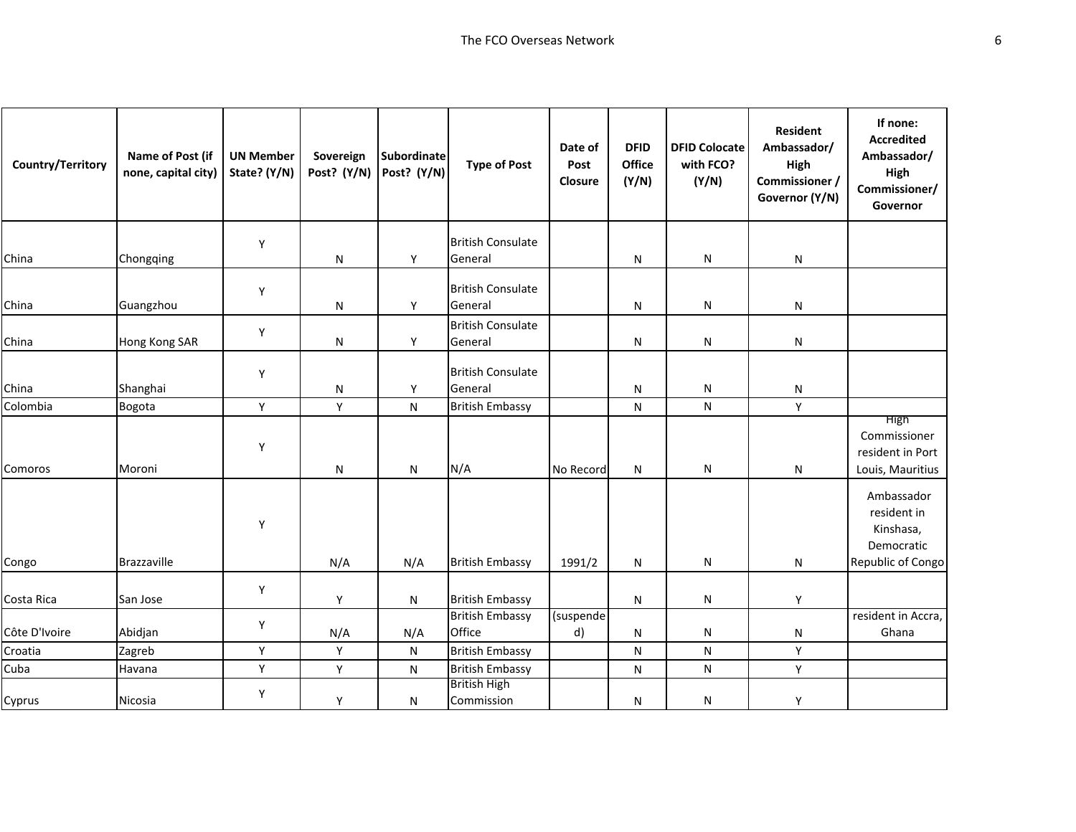| Country/Territory | Name of Post (if<br>none, capital city) | <b>UN Member</b><br>State? (Y/N) | Sovereign<br>Post? (Y/N) | <b>Subordinate</b><br>Post? (Y/N) | <b>Type of Post</b>                 | Date of<br>Post<br>Closure | <b>DFID</b><br>Office<br>(Y/N) | <b>DFID Colocate</b><br>with FCO?<br>(Y/N) | <b>Resident</b><br>Ambassador/<br>High<br>Commissioner /<br>Governor (Y/N) | If none:<br><b>Accredited</b><br>Ambassador/<br>High<br>Commissioner/<br>Governor |
|-------------------|-----------------------------------------|----------------------------------|--------------------------|-----------------------------------|-------------------------------------|----------------------------|--------------------------------|--------------------------------------------|----------------------------------------------------------------------------|-----------------------------------------------------------------------------------|
|                   |                                         | Υ                                |                          |                                   | <b>British Consulate</b>            |                            |                                |                                            |                                                                            |                                                                                   |
| China             | Chongqing                               |                                  | N                        | Y                                 | General                             |                            | ${\sf N}$                      | ${\sf N}$                                  | N                                                                          |                                                                                   |
| China             | Guangzhou                               | Υ                                | ${\sf N}$                | Y                                 | <b>British Consulate</b><br>General |                            | N                              | N                                          | N                                                                          |                                                                                   |
| China             | Hong Kong SAR                           | Υ                                | N                        | Y                                 | <b>British Consulate</b><br>General |                            | N                              | N                                          | N                                                                          |                                                                                   |
| China             | Shanghai                                | Υ                                | N                        | Y                                 | <b>British Consulate</b><br>General |                            | N                              | N                                          | N                                                                          |                                                                                   |
| Colombia          | Bogota                                  | Υ                                | Y                        | ${\sf N}$                         | <b>British Embassy</b>              |                            | ${\sf N}$                      | ${\sf N}$                                  | Υ                                                                          |                                                                                   |
| Comoros           | Moroni                                  | Υ                                | N                        | ${\sf N}$                         | N/A                                 | No Record                  | N                              | N                                          | N                                                                          | High<br>Commissioner<br>resident in Port<br>Louis, Mauritius                      |
| Congo             | <b>Brazzaville</b>                      | Υ                                | N/A                      | N/A                               | <b>British Embassy</b>              | 1991/2                     | N                              | N                                          | N                                                                          | Ambassador<br>resident in<br>Kinshasa,<br>Democratic<br>Republic of Congo         |
| Costa Rica        | San Jose                                | Υ                                | Y                        | N                                 | <b>British Embassy</b>              |                            | N                              | N                                          | Υ                                                                          |                                                                                   |
| Côte D'Ivoire     | Abidjan                                 | Υ                                | N/A                      | N/A                               | <b>British Embassy</b><br>Office    | (suspende<br>d)            | N                              | N                                          | N                                                                          | resident in Accra,<br>Ghana                                                       |
| Croatia           | Zagreb                                  | Y                                | Y                        | N                                 | <b>British Embassy</b>              |                            | N                              | N                                          | Υ                                                                          |                                                                                   |
| Cuba              | Havana                                  | Y                                | Y                        | N                                 | <b>British Embassy</b>              |                            | N                              | ${\sf N}$                                  | Υ                                                                          |                                                                                   |
| Cyprus            | Nicosia                                 | Υ                                | Υ                        | N                                 | <b>British High</b><br>Commission   |                            | Ν                              | N                                          | Υ                                                                          |                                                                                   |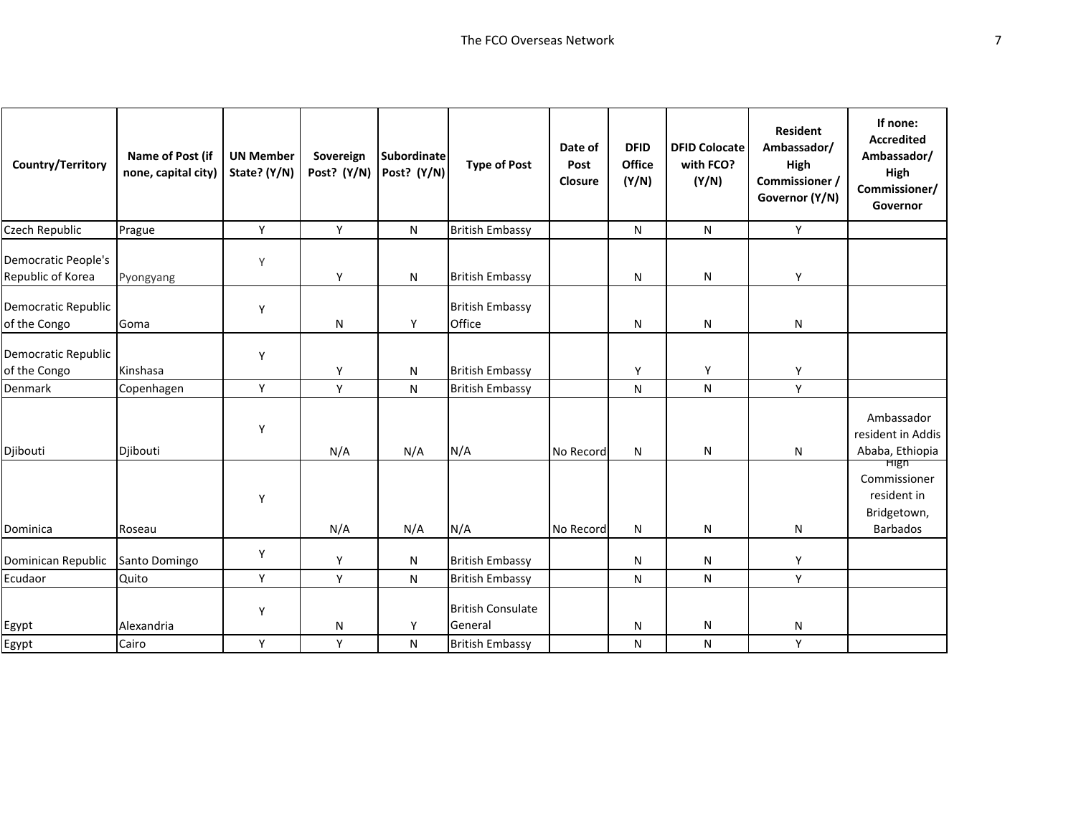| Country/Territory                               | Name of Post (if<br>none, capital city) | <b>UN Member</b><br>State? (Y/N) | Sovereign<br>Post? (Y/N) | <b>Subordinate</b><br>Post? (Y/N) | <b>Type of Post</b>                 | Date of<br>Post<br>Closure | <b>DFID</b><br>Office<br>(Y/N) | <b>DFID Colocate</b><br>with FCO?<br>(Y/N) | <b>Resident</b><br>Ambassador/<br>High<br>Commissioner /<br>Governor (Y/N) | If none:<br><b>Accredited</b><br>Ambassador/<br>High<br>Commissioner/<br>Governor |
|-------------------------------------------------|-----------------------------------------|----------------------------------|--------------------------|-----------------------------------|-------------------------------------|----------------------------|--------------------------------|--------------------------------------------|----------------------------------------------------------------------------|-----------------------------------------------------------------------------------|
| Czech Republic                                  | Prague                                  | Y                                | Y                        | N                                 | <b>British Embassy</b>              |                            | N                              | N                                          | Y                                                                          |                                                                                   |
| <b>Democratic People's</b><br>Republic of Korea | Pyongyang                               | Y                                | Y                        | N                                 | <b>British Embassy</b>              |                            | N                              | ${\sf N}$                                  | Y                                                                          |                                                                                   |
| Democratic Republic<br>of the Congo             | Goma                                    | Υ                                | N                        | Y                                 | <b>British Embassy</b><br>Office    |                            | N                              | ${\sf N}$                                  | N                                                                          |                                                                                   |
| Democratic Republic<br>of the Congo             | Kinshasa                                | Y                                | Y                        | ${\sf N}$                         | <b>British Embassy</b>              |                            | Y                              | Y                                          | Y                                                                          |                                                                                   |
| Denmark                                         | Copenhagen                              | Y                                | Υ                        | ${\sf N}$                         | <b>British Embassy</b>              |                            | N                              | N                                          | Y                                                                          |                                                                                   |
| Djibouti                                        | Djibouti                                | Y                                | N/A                      | N/A                               | N/A                                 | No Record                  | N                              | ${\sf N}$                                  | N                                                                          | Ambassador<br>resident in Addis<br>Ababa, Ethiopia                                |
| Dominica                                        | Roseau                                  | Y                                | N/A                      | N/A                               | N/A                                 | No Record                  | N                              | ${\sf N}$                                  | N                                                                          | <b>High</b><br>Commissioner<br>resident in<br>Bridgetown,<br><b>Barbados</b>      |
| Dominican Republic                              | Santo Domingo                           | Y                                | Y                        | N                                 | <b>British Embassy</b>              |                            | ${\sf N}$                      | ${\sf N}$                                  | Y                                                                          |                                                                                   |
| Ecudaor                                         | Quito                                   | Y                                | Y                        | N                                 | <b>British Embassy</b>              |                            | N                              | N                                          | Y                                                                          |                                                                                   |
| Egypt                                           | Alexandria                              | Y                                | N                        | Υ                                 | <b>British Consulate</b><br>General |                            | N                              | ${\sf N}$                                  | N                                                                          |                                                                                   |
| Egypt                                           | Cairo                                   | Y                                | Y                        | N                                 | <b>British Embassy</b>              |                            | N                              | N                                          | Y                                                                          |                                                                                   |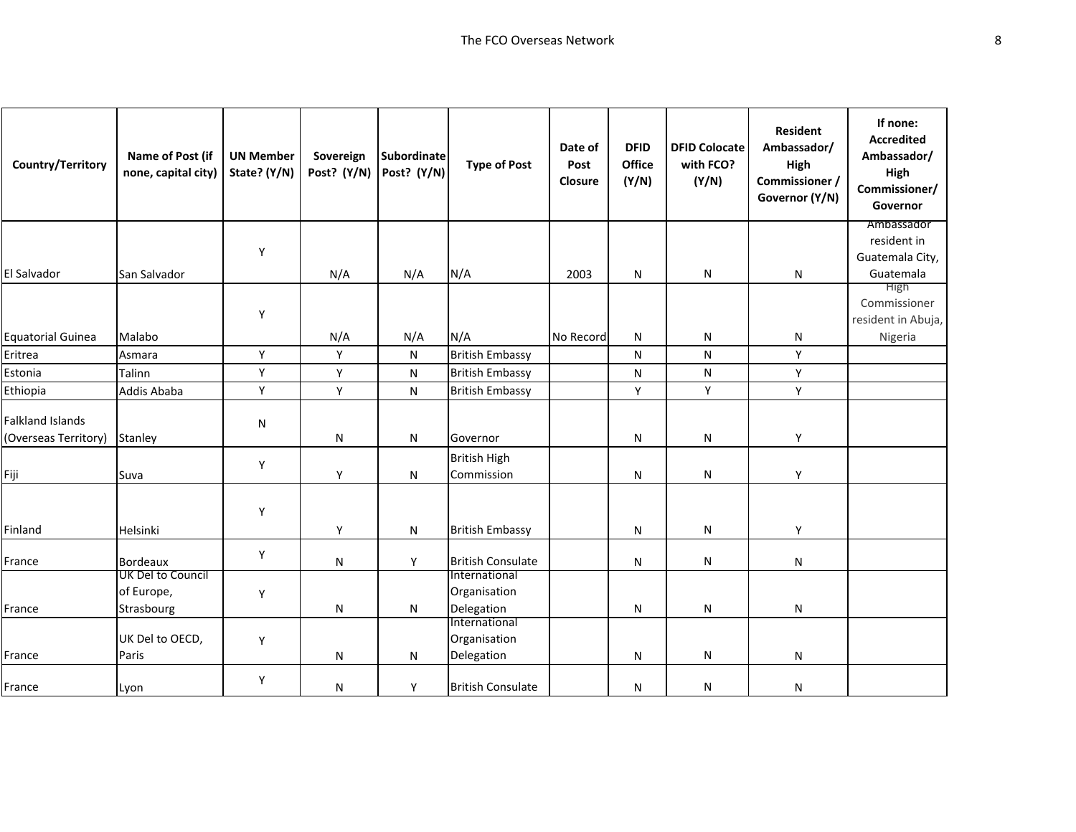| Country/Territory                               | Name of Post (if<br>none, capital city)       | <b>UN Member</b><br>State? (Y/N) | Sovereign<br>Post? (Y/N) | <b>Subordinate</b><br>Post? (Y/N) | <b>Type of Post</b>                         | Date of<br>Post<br>Closure | <b>DFID</b><br><b>Office</b><br>(Y/N) | <b>DFID Colocate</b><br>with FCO?<br>(Y/N) | <b>Resident</b><br>Ambassador/<br>High<br>Commissioner /<br>Governor (Y/N) | If none:<br><b>Accredited</b><br>Ambassador/<br>High<br>Commissioner/<br>Governor |
|-------------------------------------------------|-----------------------------------------------|----------------------------------|--------------------------|-----------------------------------|---------------------------------------------|----------------------------|---------------------------------------|--------------------------------------------|----------------------------------------------------------------------------|-----------------------------------------------------------------------------------|
|                                                 |                                               |                                  |                          |                                   |                                             |                            |                                       |                                            |                                                                            | Ambassador<br>resident in                                                         |
|                                                 |                                               | Y                                |                          |                                   |                                             |                            |                                       |                                            |                                                                            | Guatemala City,                                                                   |
| El Salvador                                     | San Salvador                                  |                                  | N/A                      | N/A                               | N/A                                         | 2003                       | N                                     | N                                          | N                                                                          | Guatemala                                                                         |
|                                                 |                                               | Y                                |                          |                                   |                                             |                            |                                       |                                            |                                                                            | High<br>Commissioner<br>resident in Abuja,                                        |
| <b>Equatorial Guinea</b>                        | Malabo                                        |                                  | N/A                      | N/A                               | N/A                                         | No Record                  | N                                     | N                                          | N                                                                          | Nigeria                                                                           |
| Eritrea                                         | Asmara                                        | Y                                | Y                        | N                                 | <b>British Embassy</b>                      |                            | N                                     | N                                          | Y                                                                          |                                                                                   |
| Estonia                                         | Talinn                                        | Y                                | Υ                        | ${\sf N}$                         | <b>British Embassy</b>                      |                            | ${\sf N}$                             | ${\sf N}$                                  | Υ                                                                          |                                                                                   |
| Ethiopia                                        | Addis Ababa                                   | Y                                | Y                        | ${\sf N}$                         | <b>British Embassy</b>                      |                            | Υ                                     | Y                                          | Y                                                                          |                                                                                   |
| <b>Falkland Islands</b><br>(Overseas Territory) | Stanley                                       | N                                | N                        | N                                 | Governor                                    |                            | N                                     | $\mathsf{N}$                               | Υ                                                                          |                                                                                   |
| Fiji                                            | Suva                                          | Y                                | Y                        | ${\sf N}$                         | <b>British High</b><br>Commission           |                            | N                                     | ${\sf N}$                                  | Y                                                                          |                                                                                   |
| Finland                                         | Helsinki                                      | Y                                | Y                        | N                                 | <b>British Embassy</b>                      |                            | N                                     | N                                          | Υ                                                                          |                                                                                   |
| France                                          | <b>Bordeaux</b>                               | Y                                | N                        | Υ                                 | <b>British Consulate</b>                    |                            | N                                     | N                                          | N                                                                          |                                                                                   |
| France                                          | UK Del to Council<br>of Europe,<br>Strasbourg | Y                                | N                        | ${\sf N}$                         | International<br>Organisation<br>Delegation |                            | N                                     | N                                          | N                                                                          |                                                                                   |
| France                                          | UK Del to OECD,<br>Paris                      | Y                                | N                        | N                                 | International<br>Organisation<br>Delegation |                            | N                                     | N                                          | N                                                                          |                                                                                   |
| France                                          | Lyon                                          | Y                                | N                        | Υ                                 | <b>British Consulate</b>                    |                            | N                                     | N                                          | N                                                                          |                                                                                   |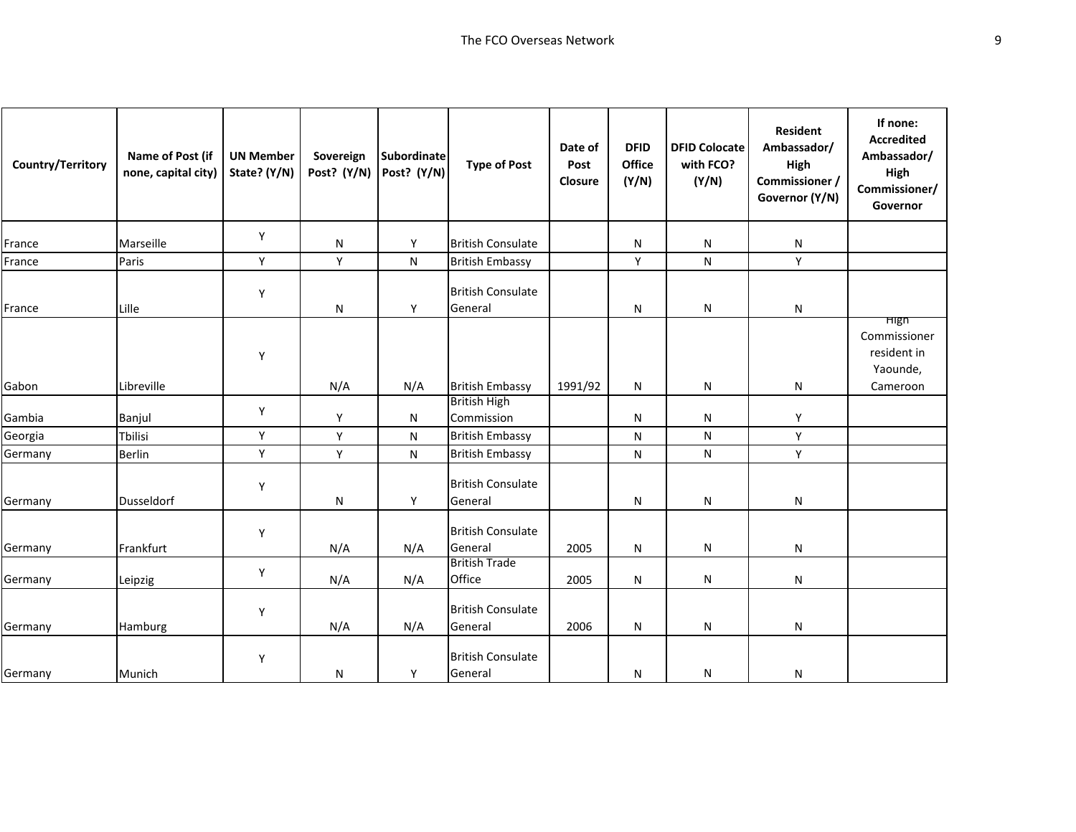| Country/Territory | Name of Post (if<br>none, capital city) | <b>UN Member</b><br>State? (Y/N) | Sovereign<br>Post? (Y/N) | Subordinate<br>Post? (Y/N) | <b>Type of Post</b>                 | Date of<br>Post<br>Closure | <b>DFID</b><br>Office<br>(Y/N) | <b>DFID Colocate</b><br>with FCO?<br>(Y/N) | <b>Resident</b><br>Ambassador/<br>High<br>Commissioner /<br>Governor (Y/N) | If none:<br><b>Accredited</b><br>Ambassador/<br>High<br>Commissioner/<br>Governor |
|-------------------|-----------------------------------------|----------------------------------|--------------------------|----------------------------|-------------------------------------|----------------------------|--------------------------------|--------------------------------------------|----------------------------------------------------------------------------|-----------------------------------------------------------------------------------|
| France            | Marseille                               | Υ                                | N                        | Y                          | <b>British Consulate</b>            |                            | N                              | N                                          | N                                                                          |                                                                                   |
| France            | Paris                                   | Y                                | Υ                        | N                          | <b>British Embassy</b>              |                            | Υ                              | ${\sf N}$                                  | Y                                                                          |                                                                                   |
| France            | Lille                                   | Y                                | N                        | Υ                          | <b>British Consulate</b><br>General |                            | N                              | ${\sf N}$                                  | N                                                                          |                                                                                   |
| Gabon             | Libreville                              | Y                                | N/A                      | N/A                        | <b>British Embassy</b>              | 1991/92                    | N                              | N                                          | N                                                                          | <b>High</b><br>Commissioner<br>resident in<br>Yaounde,<br>Cameroon                |
| Gambia            | Banjul                                  | Y                                | Y                        | N                          | <b>British High</b><br>Commission   |                            | N                              | N                                          | Y                                                                          |                                                                                   |
| Georgia           | <b>Tbilisi</b>                          | Υ                                | Y                        | N                          | <b>British Embassy</b>              |                            | ${\sf N}$                      | N                                          | Y                                                                          |                                                                                   |
| Germany           | <b>Berlin</b>                           | Υ                                | Υ                        | N                          | <b>British Embassy</b>              |                            | N                              | ${\sf N}$                                  | Υ                                                                          |                                                                                   |
| Germany           | <b>Dusseldorf</b>                       | Υ                                | Ν                        | Y                          | <b>British Consulate</b><br>General |                            | N                              | N                                          | N                                                                          |                                                                                   |
| Germany           | Frankfurt                               | Υ                                | N/A                      | N/A                        | <b>British Consulate</b><br>General | 2005                       | N                              | N                                          | N                                                                          |                                                                                   |
| Germany           | Leipzig                                 | Υ                                | N/A                      | N/A                        | <b>British Trade</b><br>Office      | 2005                       | ${\sf N}$                      | N                                          | N                                                                          |                                                                                   |
| Germany           | Hamburg                                 | Υ                                | N/A                      | N/A                        | <b>British Consulate</b><br>General | 2006                       | N                              | N                                          | N                                                                          |                                                                                   |
| Germany           | Munich                                  | Y                                | N                        | Υ                          | <b>British Consulate</b><br>General |                            | N                              | N                                          | N                                                                          |                                                                                   |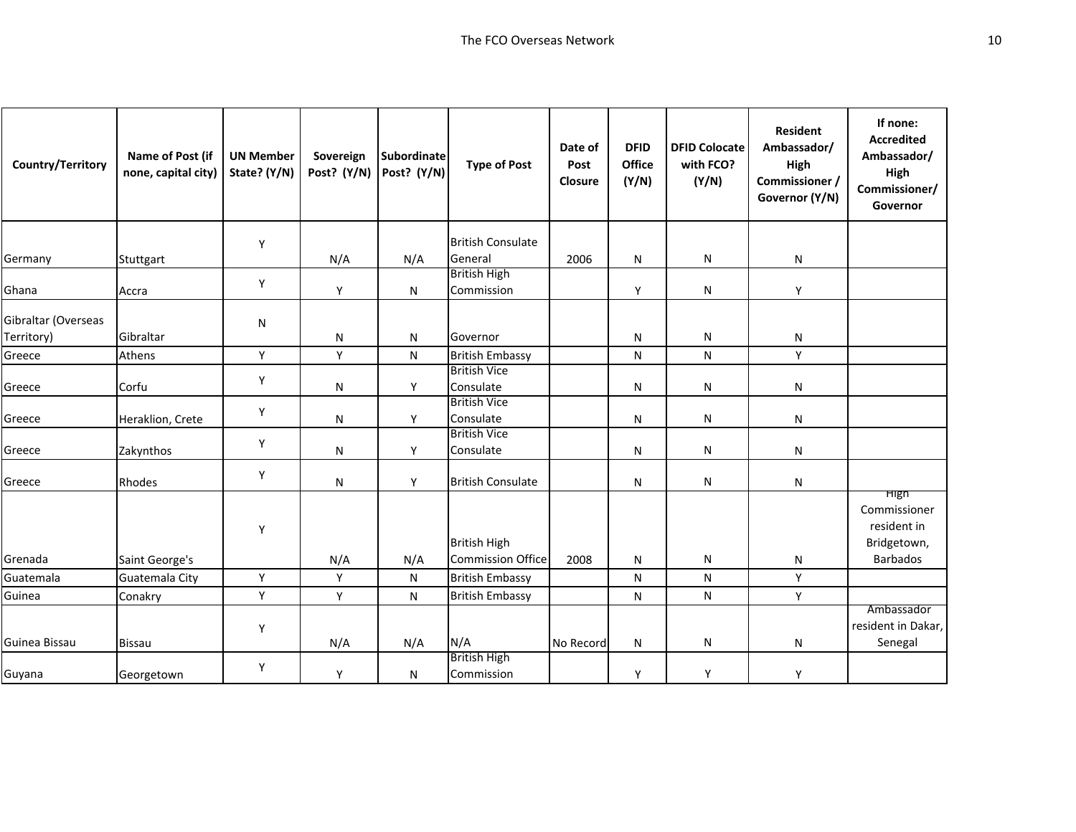| Country/Territory   | Name of Post (if<br>none, capital city) | <b>UN Member</b><br>State? (Y/N) | Sovereign<br>Post? (Y/N) | Subordinate<br>Post? (Y/N) | <b>Type of Post</b>                             | Date of<br>Post<br>Closure | <b>DFID</b><br>Office<br>(Y/N) | <b>DFID Colocate</b><br>with FCO?<br>(Y/N) | <b>Resident</b><br>Ambassador/<br>High<br>Commissioner /<br>Governor (Y/N) | If none:<br><b>Accredited</b><br>Ambassador/<br>High<br>Commissioner/<br>Governor |
|---------------------|-----------------------------------------|----------------------------------|--------------------------|----------------------------|-------------------------------------------------|----------------------------|--------------------------------|--------------------------------------------|----------------------------------------------------------------------------|-----------------------------------------------------------------------------------|
|                     |                                         | Y                                |                          |                            | <b>British Consulate</b>                        |                            |                                |                                            |                                                                            |                                                                                   |
| Germany             | Stuttgart                               |                                  | N/A                      | N/A                        | General                                         | 2006                       | N                              | N                                          | N                                                                          |                                                                                   |
| Ghana               | Accra                                   | Y                                | Υ                        | N                          | <b>British High</b><br>Commission               |                            | Y                              | N                                          | Y                                                                          |                                                                                   |
| Gibraltar (Overseas |                                         | N                                |                          |                            |                                                 |                            |                                |                                            |                                                                            |                                                                                   |
| Territory)          | Gibraltar                               |                                  | N                        | N                          | Governor                                        |                            | N                              | N                                          | N                                                                          |                                                                                   |
| Greece              | Athens                                  | Υ                                | Υ                        | N                          | <b>British Embassy</b><br><b>British Vice</b>   |                            | N                              | ${\sf N}$                                  | Υ                                                                          |                                                                                   |
| Greece              | Corfu                                   | Y                                | ${\sf N}$                | Y                          | Consulate                                       |                            | N                              | N                                          | N                                                                          |                                                                                   |
| Greece              | Heraklion, Crete                        | Υ                                | N                        | Y                          | <b>British Vice</b><br>Consulate                |                            | N                              | N                                          | N                                                                          |                                                                                   |
| Greece              | Zakynthos                               | Y                                | N                        | Y                          | <b>British Vice</b><br>Consulate                |                            | N                              | N                                          | N                                                                          |                                                                                   |
| Greece              | Rhodes                                  | Y                                | N                        | Y                          | <b>British Consulate</b>                        |                            | N                              | N                                          | N                                                                          |                                                                                   |
| Grenada             | Saint George's                          | Υ                                | N/A                      | N/A                        | <b>British High</b><br><b>Commission Office</b> | 2008                       | N                              | N                                          | ${\sf N}$                                                                  | <b>High</b><br>Commissioner<br>resident in<br>Bridgetown,<br><b>Barbados</b>      |
| Guatemala           | Guatemala City                          | Υ                                | Y                        | $\mathsf{N}$               | <b>British Embassy</b>                          |                            | ${\sf N}$                      | N                                          | Y                                                                          |                                                                                   |
| Guinea              | Conakry                                 | Υ                                | Υ                        | N                          | <b>British Embassy</b>                          |                            | N                              | N                                          | Υ                                                                          |                                                                                   |
| Guinea Bissau       | <b>Bissau</b>                           | Y                                | N/A                      | N/A                        | N/A                                             | No Record                  | N                              | N                                          | N                                                                          | Ambassador<br>resident in Dakar,<br>Senegal                                       |
| Guyana              | Georgetown                              | Υ                                | Y                        | N                          | <b>British High</b><br>Commission               |                            | Y                              | Y                                          | Y                                                                          |                                                                                   |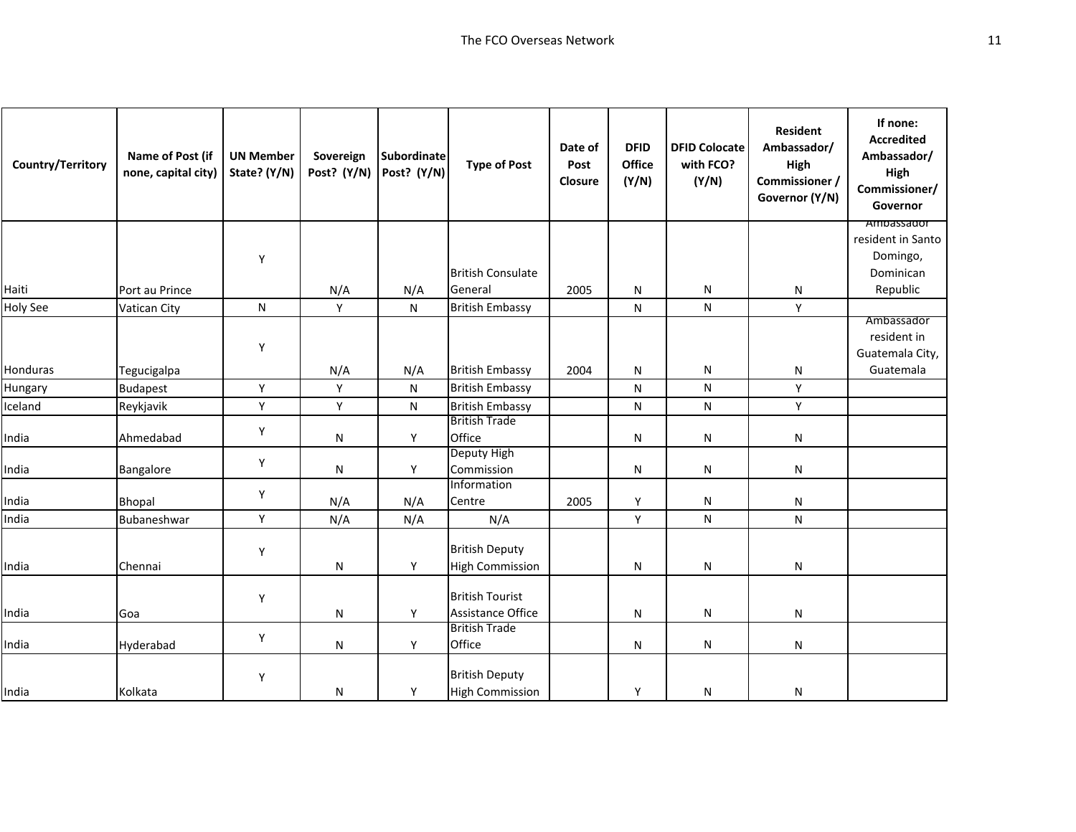| Country/Territory | Name of Post (if<br>none, capital city) | <b>UN Member</b><br>State? (Y/N) | Sovereign<br>Post? (Y/N) | <b>Subordinate</b><br>Post? (Y/N) | <b>Type of Post</b>       | Date of<br>Post<br>Closure | <b>DFID</b><br>Office<br>(Y/N) | <b>DFID Colocate</b><br>with FCO?<br>(Y/N) | <b>Resident</b><br>Ambassador/<br>High<br>Commissioner /<br>Governor (Y/N) | If none:<br><b>Accredited</b><br>Ambassador/<br>High<br>Commissioner/<br>Governor |
|-------------------|-----------------------------------------|----------------------------------|--------------------------|-----------------------------------|---------------------------|----------------------------|--------------------------------|--------------------------------------------|----------------------------------------------------------------------------|-----------------------------------------------------------------------------------|
|                   |                                         |                                  |                          |                                   |                           |                            |                                |                                            |                                                                            | Ampassador<br>resident in Santo                                                   |
|                   |                                         | Υ                                |                          |                                   |                           |                            |                                |                                            |                                                                            | Domingo,                                                                          |
|                   |                                         |                                  |                          |                                   | <b>British Consulate</b>  |                            |                                |                                            |                                                                            | Dominican                                                                         |
| Haiti             | Port au Prince                          |                                  | N/A                      | N/A                               | General                   | 2005                       | N                              | N                                          | N                                                                          | Republic                                                                          |
| <b>Holy See</b>   | Vatican City                            | ${\sf N}$                        | Υ                        | $\mathsf{N}$                      | <b>British Embassy</b>    |                            | N                              | ${\sf N}$                                  | Υ                                                                          |                                                                                   |
|                   |                                         |                                  |                          |                                   |                           |                            |                                |                                            |                                                                            | Ambassador<br>resident in                                                         |
|                   |                                         | Y                                |                          |                                   |                           |                            |                                |                                            |                                                                            | Guatemala City,                                                                   |
| Honduras          | Tegucigalpa                             |                                  | N/A                      | N/A                               | <b>British Embassy</b>    | 2004                       | N                              | N                                          | N                                                                          | Guatemala                                                                         |
| Hungary           | <b>Budapest</b>                         | Υ                                | Y                        | N                                 | <b>British Embassy</b>    |                            | N                              | N                                          | Y                                                                          |                                                                                   |
| Iceland           | Reykjavik                               | Υ                                | Y                        | N                                 | <b>British Embassy</b>    |                            | N                              | N                                          | Y                                                                          |                                                                                   |
|                   |                                         |                                  |                          |                                   | <b>British Trade</b>      |                            |                                |                                            |                                                                            |                                                                                   |
| India             | Ahmedabad                               | Υ                                | N                        | Y                                 | Office                    |                            | N                              | N                                          | N                                                                          |                                                                                   |
|                   |                                         | Υ                                |                          |                                   | Deputy High               |                            |                                |                                            |                                                                            |                                                                                   |
| India             | Bangalore                               |                                  | ${\sf N}$                | Y                                 | Commission<br>Information |                            | N                              | N                                          | N                                                                          |                                                                                   |
| India             | <b>Bhopal</b>                           | Υ                                | N/A                      | N/A                               | Centre                    | 2005                       | Υ                              | N                                          | N                                                                          |                                                                                   |
| India             | Bubaneshwar                             | Υ                                | N/A                      | N/A                               | N/A                       |                            | Υ                              | ${\sf N}$                                  | N                                                                          |                                                                                   |
|                   |                                         |                                  |                          |                                   |                           |                            |                                |                                            |                                                                            |                                                                                   |
|                   |                                         | Υ                                |                          |                                   | <b>British Deputy</b>     |                            |                                |                                            |                                                                            |                                                                                   |
| India             | Chennai                                 |                                  | ${\sf N}$                | Υ                                 | <b>High Commission</b>    |                            | N                              | N                                          | N                                                                          |                                                                                   |
|                   |                                         |                                  |                          |                                   | <b>British Tourist</b>    |                            |                                |                                            |                                                                            |                                                                                   |
| India             | Goa                                     | Υ                                | N                        | Y                                 | Assistance Office         |                            | N                              | N                                          | N                                                                          |                                                                                   |
|                   |                                         |                                  |                          |                                   | <b>British Trade</b>      |                            |                                |                                            |                                                                            |                                                                                   |
| India             | Hyderabad                               | Υ                                | N                        | Y                                 | Office                    |                            | N                              | N                                          | N                                                                          |                                                                                   |
|                   |                                         |                                  |                          |                                   |                           |                            |                                |                                            |                                                                            |                                                                                   |
|                   |                                         | Υ                                |                          |                                   | <b>British Deputy</b>     |                            |                                |                                            |                                                                            |                                                                                   |
| India             | Kolkata                                 |                                  | ${\sf N}$                | Υ                                 | <b>High Commission</b>    |                            | Υ                              | ${\sf N}$                                  | N                                                                          |                                                                                   |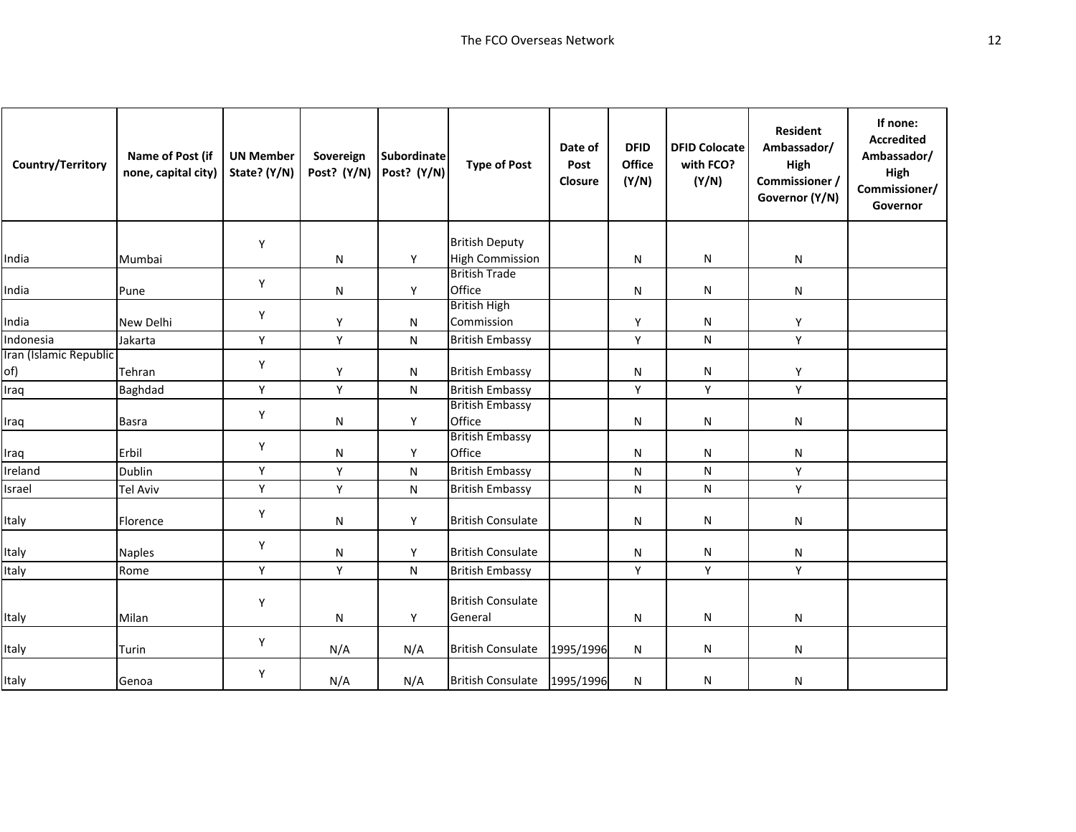| Country/Territory             | Name of Post (if<br>none, capital city) | <b>UN Member</b><br>State? (Y/N) | Sovereign<br>Post? (Y/N) | <b>Subordinate</b><br>Post? (Y/N) | <b>Type of Post</b>                 | Date of<br>Post<br>Closure | <b>DFID</b><br><b>Office</b><br>(Y/N) | <b>DFID Colocate</b><br>with FCO?<br>(Y/N) | <b>Resident</b><br>Ambassador/<br>High<br>Commissioner /<br>Governor (Y/N) | If none:<br><b>Accredited</b><br>Ambassador/<br>High<br>Commissioner/<br>Governor |
|-------------------------------|-----------------------------------------|----------------------------------|--------------------------|-----------------------------------|-------------------------------------|----------------------------|---------------------------------------|--------------------------------------------|----------------------------------------------------------------------------|-----------------------------------------------------------------------------------|
|                               |                                         | Y                                |                          |                                   | <b>British Deputy</b>               |                            |                                       |                                            |                                                                            |                                                                                   |
| India                         | Mumbai                                  |                                  | N                        | Y                                 | <b>High Commission</b>              |                            | N                                     | N                                          | N                                                                          |                                                                                   |
| India                         | Pune                                    | Y                                | Ν                        | Y                                 | <b>British Trade</b><br>Office      |                            | N                                     | N                                          | N                                                                          |                                                                                   |
| India                         | New Delhi                               | Y                                | Y                        | N                                 | <b>British High</b><br>Commission   |                            | Y                                     | N                                          | Y                                                                          |                                                                                   |
| Indonesia                     | Jakarta                                 | Y                                | Y                        | $\mathsf{N}$                      | <b>British Embassy</b>              |                            | Y                                     | ${\sf N}$                                  | Y                                                                          |                                                                                   |
| Iran (Islamic Republic<br>of) | Tehran                                  | Y                                | Y                        | ${\sf N}$                         | <b>British Embassy</b>              |                            | N                                     | $\mathsf{N}$                               | Υ                                                                          |                                                                                   |
| Iraq                          | Baghdad                                 | Y                                | Υ                        | N                                 | <b>British Embassy</b>              |                            | Y                                     | Y                                          | Y                                                                          |                                                                                   |
| Iraq                          | <b>Basra</b>                            | Y                                | N                        | Y                                 | <b>British Embassy</b><br>Office    |                            | N                                     | $\mathsf{N}$                               | N                                                                          |                                                                                   |
| Iraq                          | Erbil                                   | Y                                | N                        | Y                                 | <b>British Embassy</b><br>Office    |                            | N                                     | N                                          | N                                                                          |                                                                                   |
| Ireland                       | Dublin                                  | Y                                | Y                        | N                                 | <b>British Embassy</b>              |                            | N                                     | ${\sf N}$                                  | Y                                                                          |                                                                                   |
| Israel                        | <b>Tel Aviv</b>                         | Y                                | Y                        | N                                 | <b>British Embassy</b>              |                            | N                                     | ${\sf N}$                                  | Y                                                                          |                                                                                   |
| Italy                         | Florence                                | Y                                | N                        | Y                                 | <b>British Consulate</b>            |                            | N                                     | N                                          | N                                                                          |                                                                                   |
| Italy                         | <b>Naples</b>                           | Y                                | N                        | Y                                 | <b>British Consulate</b>            |                            | N                                     | N                                          | N                                                                          |                                                                                   |
| Italy                         | Rome                                    | Y                                | Υ                        | ${\sf N}$                         | <b>British Embassy</b>              |                            | Υ                                     | Y                                          | Y                                                                          |                                                                                   |
| Italy                         | Milan                                   | Y                                | Ν                        | Y                                 | <b>British Consulate</b><br>General |                            | N                                     | N                                          | N                                                                          |                                                                                   |
| Italy                         | Turin                                   | Y                                | N/A                      | N/A                               | <b>British Consulate</b>            | 1995/1996                  | N                                     | N                                          | N                                                                          |                                                                                   |
| Italy                         | Genoa                                   | Y                                | N/A                      | N/A                               | <b>British Consulate</b>            | 1995/1996                  | N                                     | N                                          | N                                                                          |                                                                                   |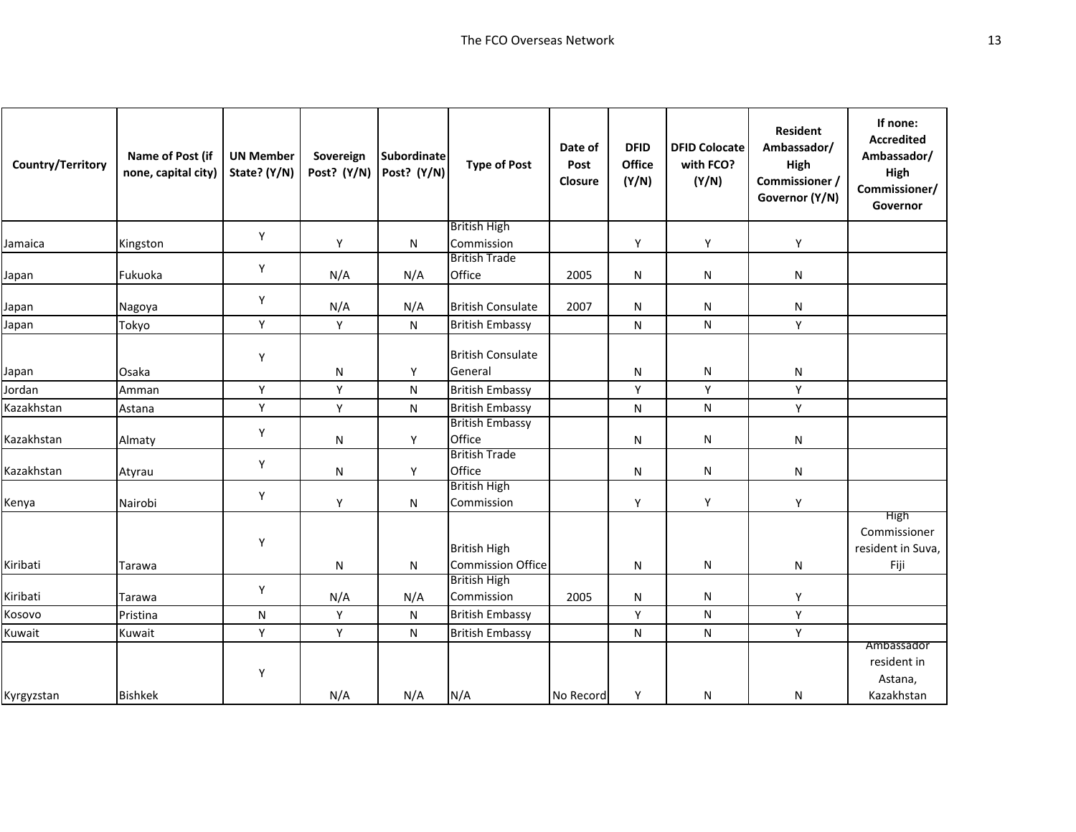| Country/Territory | Name of Post (if<br>none, capital city) | <b>UN Member</b><br>State? (Y/N) | Sovereign<br>Post? (Y/N) | <b>Subordinate</b><br>Post? (Y/N) | <b>Type of Post</b>                             | Date of<br>Post<br>Closure | <b>DFID</b><br>Office<br>(Y/N) | <b>DFID Colocate</b><br>with FCO?<br>(Y/N) | <b>Resident</b><br>Ambassador/<br>High<br>Commissioner /<br>Governor (Y/N) | If none:<br><b>Accredited</b><br>Ambassador/<br>High<br>Commissioner/<br>Governor |
|-------------------|-----------------------------------------|----------------------------------|--------------------------|-----------------------------------|-------------------------------------------------|----------------------------|--------------------------------|--------------------------------------------|----------------------------------------------------------------------------|-----------------------------------------------------------------------------------|
|                   |                                         | Υ                                |                          |                                   | <b>British High</b>                             |                            |                                |                                            |                                                                            |                                                                                   |
| Jamaica           | Kingston                                |                                  | Y                        | N                                 | Commission<br><b>British Trade</b>              |                            | Υ                              | Y                                          | Υ                                                                          |                                                                                   |
| Japan             | Fukuoka                                 | Υ                                | N/A                      | N/A                               | Office                                          | 2005                       | N                              | N                                          | N                                                                          |                                                                                   |
| Japan             | Nagoya                                  | Υ                                | N/A                      | N/A                               | <b>British Consulate</b>                        | 2007                       | N                              | N                                          | N                                                                          |                                                                                   |
| Japan             | Tokyo                                   | Υ                                | Y                        | N                                 | <b>British Embassy</b>                          |                            | N                              | N                                          | Y                                                                          |                                                                                   |
|                   |                                         | Υ                                |                          |                                   | <b>British Consulate</b><br>General             |                            |                                |                                            |                                                                            |                                                                                   |
| Japan             | Osaka                                   |                                  | N                        | Υ                                 |                                                 |                            | N                              | N                                          | N                                                                          |                                                                                   |
| Jordan            | Amman                                   | Y                                | Y                        | N                                 | <b>British Embassy</b>                          |                            | Y                              | Y                                          | Y                                                                          |                                                                                   |
| Kazakhstan        | Astana                                  | Υ                                | Υ                        | N                                 | <b>British Embassy</b>                          |                            | N                              | N                                          | Υ                                                                          |                                                                                   |
| Kazakhstan        | Almaty                                  | Υ                                | N                        | Y                                 | <b>British Embassy</b><br>Office                |                            | N                              | N                                          | N                                                                          |                                                                                   |
| Kazakhstan        | Atyrau                                  | Υ                                | ${\sf N}$                | Y                                 | <b>British Trade</b><br>Office                  |                            | N                              | N                                          | N                                                                          |                                                                                   |
| Kenya             | Nairobi                                 | Υ                                | Y                        | N                                 | <b>British High</b><br>Commission               |                            | Y                              | Υ                                          | Y                                                                          |                                                                                   |
| Kiribati          | Tarawa                                  | Υ                                | N                        | N                                 | <b>British High</b><br><b>Commission Office</b> |                            | N                              | N                                          | N                                                                          | <b>High</b><br>Commissioner<br>resident in Suva,<br>Fiji                          |
| Kiribati          | Tarawa                                  | Υ                                | N/A                      | N/A                               | <b>British High</b><br>Commission               | 2005                       | N                              | N                                          | Y                                                                          |                                                                                   |
| Kosovo            | Pristina                                | N                                | Y                        | ${\sf N}$                         | <b>British Embassy</b>                          |                            | Y                              | ${\sf N}$                                  | Y                                                                          |                                                                                   |
| Kuwait            | Kuwait                                  | Y                                | Y                        | N                                 | <b>British Embassy</b>                          |                            | N                              | N                                          | Y                                                                          |                                                                                   |
|                   |                                         |                                  |                          |                                   |                                                 |                            |                                |                                            |                                                                            | Ambassador                                                                        |
|                   |                                         | Υ                                |                          |                                   |                                                 |                            |                                |                                            |                                                                            | resident in<br>Astana,                                                            |
| Kyrgyzstan        | <b>Bishkek</b>                          |                                  | N/A                      | N/A                               | N/A                                             | No Record                  | Υ                              | N                                          | N                                                                          | Kazakhstan                                                                        |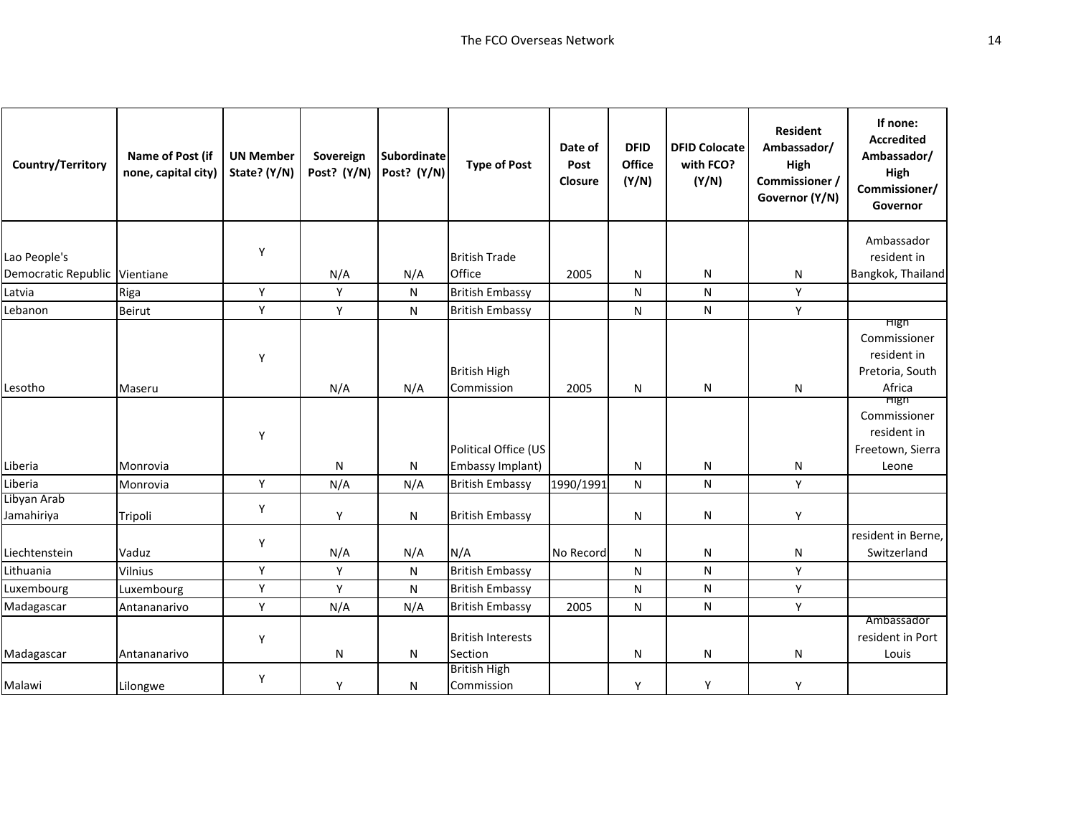| Country/Territory             | Name of Post (if<br>none, capital city) | <b>UN Member</b><br>State? (Y/N) | Sovereign<br>Post? (Y/N) | <b>Subordinate</b><br>Post? (Y/N) | <b>Type of Post</b>                 | Date of<br>Post<br>Closure | <b>DFID</b><br>Office<br>(Y/N) | <b>DFID Colocate</b><br>with FCO?<br>(Y/N) | <b>Resident</b><br>Ambassador/<br>High<br>Commissioner /<br>Governor (Y/N) | If none:<br><b>Accredited</b><br>Ambassador/<br>High<br>Commissioner/<br>Governor |
|-------------------------------|-----------------------------------------|----------------------------------|--------------------------|-----------------------------------|-------------------------------------|----------------------------|--------------------------------|--------------------------------------------|----------------------------------------------------------------------------|-----------------------------------------------------------------------------------|
|                               |                                         |                                  |                          |                                   |                                     |                            |                                |                                            |                                                                            | Ambassador                                                                        |
| Lao People's                  |                                         | Y                                |                          |                                   | <b>British Trade</b>                |                            |                                |                                            |                                                                            | resident in                                                                       |
| Democratic Republic Vientiane |                                         |                                  | N/A                      | N/A                               | Office                              | 2005                       | N                              | N                                          | N                                                                          | Bangkok, Thailand                                                                 |
| Latvia                        | Riga                                    | Υ                                | Y                        | $\mathsf{N}$                      | <b>British Embassy</b>              |                            | ${\sf N}$                      | N                                          | Υ                                                                          |                                                                                   |
| Lebanon                       | Beirut                                  | Y                                | Y                        | N                                 | <b>British Embassy</b>              |                            | N                              | N                                          | Y                                                                          |                                                                                   |
| Lesotho                       | Maseru                                  | Y                                | N/A                      | N/A                               | <b>British High</b><br>Commission   | 2005                       | N                              | N                                          | N                                                                          | <b>High</b><br>Commissioner<br>resident in<br>Pretoria, South<br>Africa           |
|                               |                                         | Y                                |                          |                                   | Political Office (US                |                            |                                |                                            |                                                                            | <b>High</b><br>Commissioner<br>resident in<br>Freetown, Sierra                    |
| Liberia                       | Monrovia                                |                                  | N                        | N                                 | Embassy Implant)                    |                            | N                              | N                                          | N                                                                          | Leone                                                                             |
| Liberia                       | Monrovia                                | Υ                                | N/A                      | N/A                               | <b>British Embassy</b>              | 1990/1991                  | N                              | N                                          | Y                                                                          |                                                                                   |
| Libyan Arab<br>Jamahiriya     | Tripoli                                 | Υ                                | Y                        | N                                 | <b>British Embassy</b>              |                            | N                              | N                                          | Y                                                                          |                                                                                   |
| Liechtenstein                 | Vaduz                                   | Y                                | N/A                      | N/A                               | N/A                                 | No Record                  | N                              | N                                          | N                                                                          | resident in Berne,<br>Switzerland                                                 |
| Lithuania                     | Vilnius                                 | Y                                | Y                        | N                                 | <b>British Embassy</b>              |                            | N                              | N                                          | Y                                                                          |                                                                                   |
| Luxembourg                    | Luxembourg                              | Υ                                | Y                        | N                                 | <b>British Embassy</b>              |                            | N                              | N                                          | Υ                                                                          |                                                                                   |
| Madagascar                    | Antananarivo                            | Υ                                | N/A                      | N/A                               | <b>British Embassy</b>              | 2005                       | N                              | N                                          | Υ                                                                          |                                                                                   |
| Madagascar                    | Antananarivo                            | Y                                | N                        | N                                 | <b>British Interests</b><br>Section |                            | N                              | N                                          | N                                                                          | Ambassador<br>resident in Port<br>Louis                                           |
| Malawi                        | Lilongwe                                | Y                                | Υ                        | N                                 | <b>British High</b><br>Commission   |                            | Υ                              | Y                                          | Y                                                                          |                                                                                   |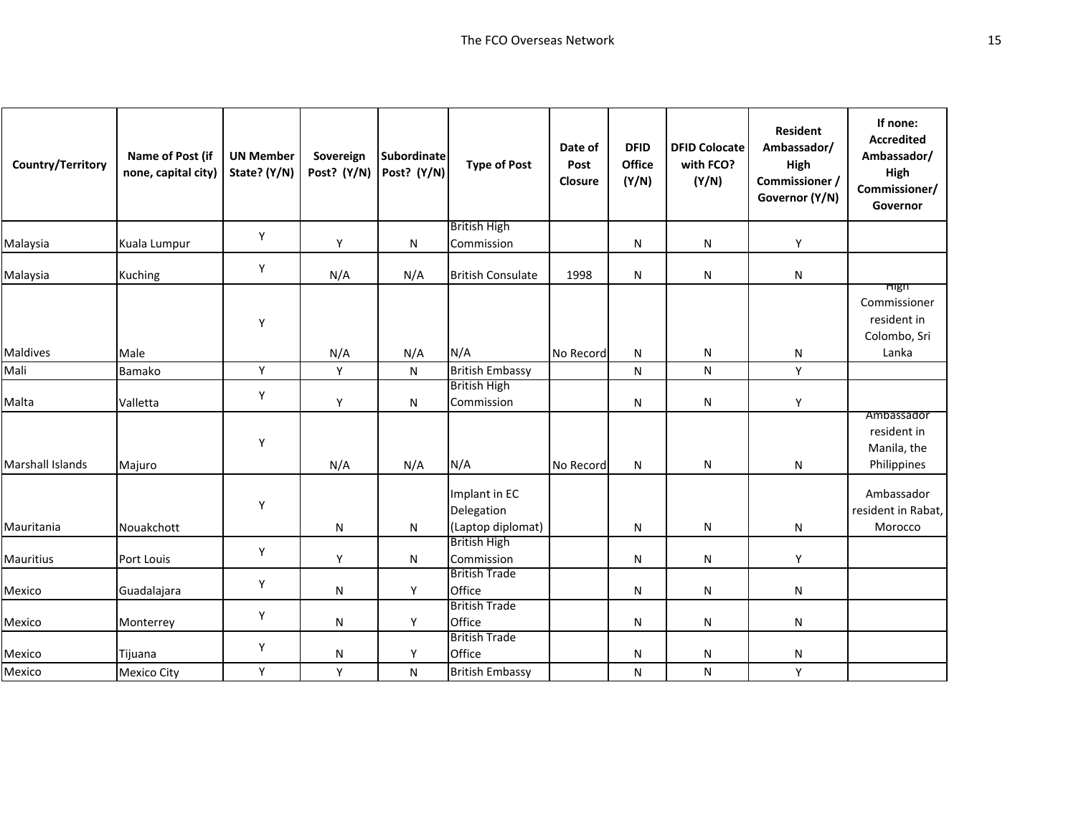| Country/Territory       | Name of Post (if<br>none, capital city) | <b>UN Member</b><br>State? (Y/N) | Sovereign<br>Post? (Y/N) | Subordinate<br>Post? (Y/N) | <b>Type of Post</b>                              | Date of<br>Post<br>Closure | <b>DFID</b><br>Office<br>(Y/N) | <b>DFID Colocate</b><br>with FCO?<br>(Y/N) | <b>Resident</b><br>Ambassador/<br>High<br>Commissioner /<br>Governor (Y/N) | If none:<br><b>Accredited</b><br>Ambassador/<br>High<br>Commissioner/<br>Governor |
|-------------------------|-----------------------------------------|----------------------------------|--------------------------|----------------------------|--------------------------------------------------|----------------------------|--------------------------------|--------------------------------------------|----------------------------------------------------------------------------|-----------------------------------------------------------------------------------|
|                         |                                         | Y                                |                          |                            | <b>British High</b>                              |                            |                                |                                            |                                                                            |                                                                                   |
| Malaysia                | Kuala Lumpur                            |                                  | Y                        | N                          | Commission                                       |                            | N                              | ${\sf N}$                                  | Y                                                                          |                                                                                   |
| Malaysia                | <b>Kuching</b>                          | Y                                | N/A                      | N/A                        | <b>British Consulate</b>                         | 1998                       | N                              | ${\sf N}$                                  | N                                                                          |                                                                                   |
| <b>Maldives</b>         | Male                                    | Y                                | N/A                      | N/A                        | N/A                                              | No Record                  | N                              | ${\sf N}$                                  | N                                                                          | High<br>Commissioner<br>resident in<br>Colombo, Sri<br>Lanka                      |
| Mali                    | Bamako                                  | Υ                                | Y                        | N                          | <b>British Embassy</b>                           |                            | N                              | N                                          | Y                                                                          |                                                                                   |
| Malta                   | Valletta                                | Υ                                | Y                        | N                          | <b>British High</b><br>Commission                |                            | N                              | N                                          | Y                                                                          |                                                                                   |
| <b>Marshall Islands</b> | Majuro                                  | Υ                                | N/A                      | N/A                        | N/A                                              | No Record                  | N                              | ${\sf N}$                                  | N                                                                          | Ambassador<br>resident in<br>Manila, the<br>Philippines                           |
| Mauritania              | Nouakchott                              | Υ                                | N                        | ${\sf N}$                  | Implant in EC<br>Delegation<br>(Laptop diplomat) |                            | N                              | ${\sf N}$                                  | N                                                                          | Ambassador<br>resident in Rabat,<br>Morocco                                       |
| <b>Mauritius</b>        | Port Louis                              | Y                                | Y                        | N                          | <b>British High</b><br>Commission                |                            | N                              | N                                          | Y                                                                          |                                                                                   |
| Mexico                  | Guadalajara                             | Υ                                | ${\sf N}$                | Y                          | <b>British Trade</b><br>Office                   |                            | N                              | ${\sf N}$                                  | N                                                                          |                                                                                   |
| Mexico                  | Monterrey                               | Y                                | N                        | Y                          | <b>British Trade</b><br>Office                   |                            | N                              | ${\sf N}$                                  | N                                                                          |                                                                                   |
| Mexico                  | Tijuana                                 | Y                                | N                        | Y                          | <b>British Trade</b><br>Office                   |                            | N                              | N                                          | N                                                                          |                                                                                   |
| Mexico                  | <b>Mexico City</b>                      | Υ                                | Y                        | ${\sf N}$                  | <b>British Embassy</b>                           |                            | N                              | ${\sf N}$                                  | Y                                                                          |                                                                                   |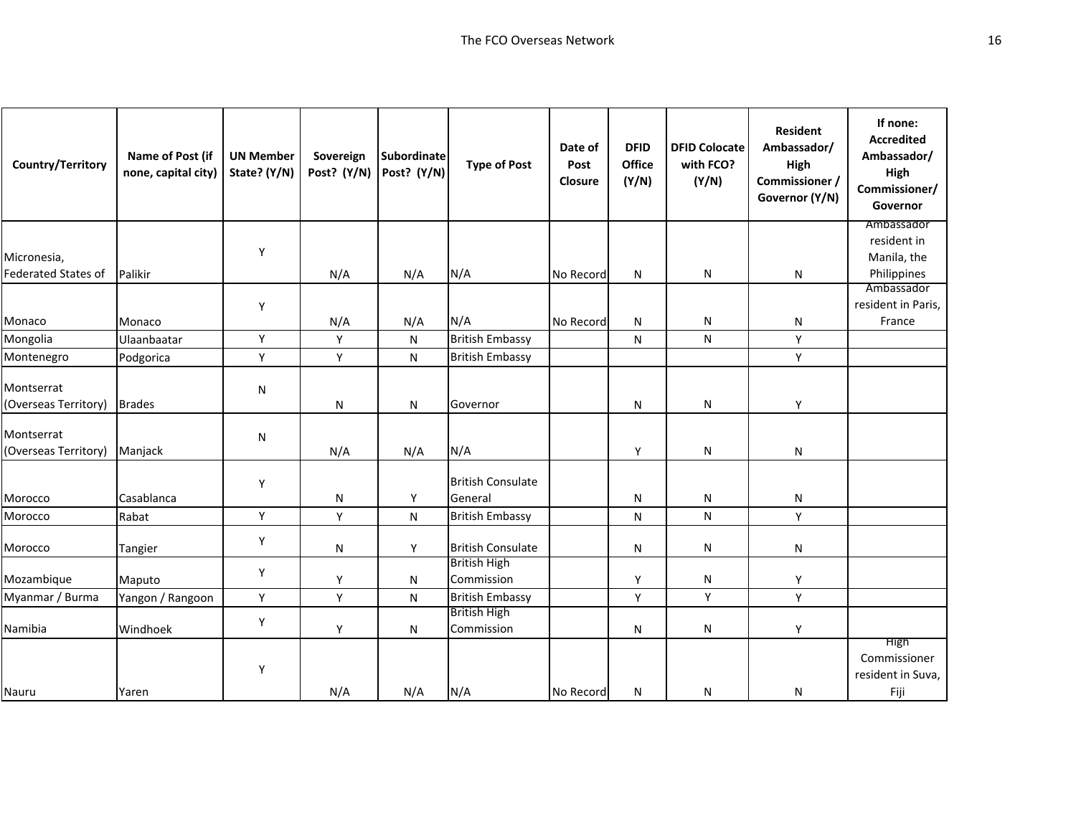| <b>Country/Territory</b>           | Name of Post (if<br>none, capital city) | <b>UN Member</b><br>State? (Y/N) | Sovereign<br>Post? (Y/N) | Subordinate<br>Post? (Y/N) | <b>Type of Post</b>                 | Date of<br>Post<br>Closure | <b>DFID</b><br>Office<br>(Y/N) | <b>DFID Colocate</b><br>with FCO?<br>(Y/N) | <b>Resident</b><br>Ambassador/<br>High<br>Commissioner /<br>Governor (Y/N) | If none:<br><b>Accredited</b><br>Ambassador/<br>High<br>Commissioner/<br>Governor |
|------------------------------------|-----------------------------------------|----------------------------------|--------------------------|----------------------------|-------------------------------------|----------------------------|--------------------------------|--------------------------------------------|----------------------------------------------------------------------------|-----------------------------------------------------------------------------------|
|                                    |                                         |                                  |                          |                            |                                     |                            |                                |                                            |                                                                            | Ambassador                                                                        |
| Micronesia,                        |                                         | Y                                |                          |                            |                                     |                            |                                |                                            |                                                                            | resident in<br>Manila, the                                                        |
| <b>Federated States of</b>         | Palikir                                 |                                  | N/A                      | N/A                        | N/A                                 | No Record                  | ${\sf N}$                      | N                                          | N                                                                          | Philippines                                                                       |
|                                    |                                         |                                  |                          |                            |                                     |                            |                                |                                            |                                                                            | Ambassador                                                                        |
|                                    |                                         | Y                                |                          |                            |                                     |                            |                                |                                            |                                                                            | resident in Paris,                                                                |
| Monaco                             | Monaco                                  |                                  | N/A                      | N/A                        | N/A                                 | No Record                  | N                              | N                                          | N                                                                          | France                                                                            |
| Mongolia                           | Ulaanbaatar                             | Y                                | Y                        | N                          | <b>British Embassy</b>              |                            | N                              | N                                          | Υ                                                                          |                                                                                   |
| Montenegro                         | Podgorica                               | Y                                | Y                        | N                          | <b>British Embassy</b>              |                            |                                |                                            | Y                                                                          |                                                                                   |
| Montserrat<br>(Overseas Territory) | <b>Brades</b>                           | N                                | ${\sf N}$                | N                          | Governor                            |                            | N                              | N                                          | Υ                                                                          |                                                                                   |
| Montserrat<br>(Overseas Territory) | Manjack                                 | N                                | N/A                      | N/A                        | N/A                                 |                            | Y                              | N                                          | N                                                                          |                                                                                   |
| Morocco                            | Casablanca                              | Y                                | N                        | Υ                          | <b>British Consulate</b><br>General |                            | N                              | N                                          | N                                                                          |                                                                                   |
| Morocco                            | Rabat                                   | Υ                                | Υ                        | N                          | <b>British Embassy</b>              |                            | N                              | ${\sf N}$                                  | Y                                                                          |                                                                                   |
| Morocco                            | Tangier                                 | Υ                                | N                        | Y                          | <b>British Consulate</b>            |                            | N                              | N                                          | N                                                                          |                                                                                   |
| Mozambique                         | Maputo                                  | Y                                | Y                        | N                          | <b>British High</b><br>Commission   |                            | Y                              | N                                          | Y                                                                          |                                                                                   |
| Myanmar / Burma                    | Yangon / Rangoon                        | Y                                | Y                        | N                          | <b>British Embassy</b>              |                            | Y                              | Y                                          | Y                                                                          |                                                                                   |
| Namibia                            | Windhoek                                | Υ                                | Υ                        | N                          | <b>British High</b><br>Commission   |                            | N                              | N                                          | Y                                                                          |                                                                                   |
| Nauru                              |                                         | Υ                                | N/A                      | N/A                        | N/A                                 | No Record                  | N                              | N                                          |                                                                            | <b>High</b><br>Commissioner<br>resident in Suva,<br>Fiji                          |
|                                    | Yaren                                   |                                  |                          |                            |                                     |                            |                                |                                            | N                                                                          |                                                                                   |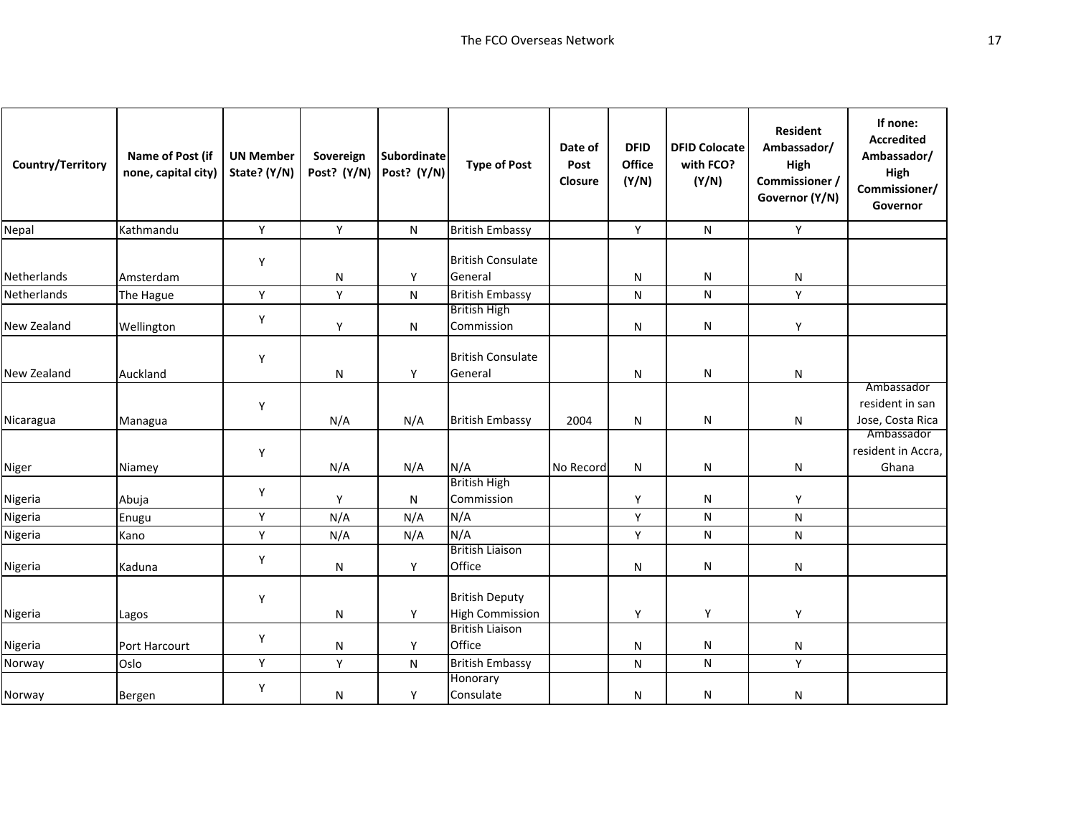| Country/Territory | Name of Post (if<br>none, capital city) | <b>UN Member</b><br>State? (Y/N) | Sovereign<br>Post? (Y/N) | <b>Subordinate</b><br>Post? (Y/N) | <b>Type of Post</b>                             | Date of<br>Post<br>Closure | <b>DFID</b><br>Office<br>(Y/N) | <b>DFID Colocate</b><br>with FCO?<br>(Y/N) | <b>Resident</b><br>Ambassador/<br>High<br>Commissioner /<br>Governor (Y/N) | If none:<br><b>Accredited</b><br>Ambassador/<br>High<br>Commissioner/<br>Governor |
|-------------------|-----------------------------------------|----------------------------------|--------------------------|-----------------------------------|-------------------------------------------------|----------------------------|--------------------------------|--------------------------------------------|----------------------------------------------------------------------------|-----------------------------------------------------------------------------------|
| Nepal             | Kathmandu                               | Υ                                | Y                        | $\mathsf{N}$                      | <b>British Embassy</b>                          |                            | Y                              | ${\sf N}$                                  | Y                                                                          |                                                                                   |
| Netherlands       | Amsterdam                               | Y                                | N                        | Y                                 | <b>British Consulate</b><br>General             |                            | N                              | N                                          | N                                                                          |                                                                                   |
| Netherlands       | The Hague                               | Y                                | Y                        | N                                 | <b>British Embassy</b>                          |                            | N                              | N                                          | Y                                                                          |                                                                                   |
| New Zealand       | Wellington                              | Υ                                | Υ                        | N                                 | <b>British High</b><br>Commission               |                            | N                              | N                                          | Υ                                                                          |                                                                                   |
| New Zealand       | Auckland                                | Υ                                | N                        | Υ                                 | <b>British Consulate</b><br>General             |                            | N                              | N                                          | ${\sf N}$                                                                  |                                                                                   |
| Nicaragua         | Managua                                 | Y                                | N/A                      | N/A                               | <b>British Embassy</b>                          | 2004                       | N                              | N                                          | N                                                                          | Ambassador<br>resident in san<br>Jose, Costa Rica                                 |
| Niger             | Niamey                                  | Υ                                | N/A                      | N/A                               | N/A                                             | No Record                  | N                              | N                                          | N                                                                          | Ambassador<br>resident in Accra,<br>Ghana                                         |
| Nigeria           | Abuja                                   | Υ                                | Y                        | N                                 | <b>British High</b><br>Commission               |                            | Y                              | N                                          | Y                                                                          |                                                                                   |
| Nigeria           | Enugu                                   | Y                                | N/A                      | N/A                               | N/A                                             |                            | Y                              | $\mathsf{N}$                               | N                                                                          |                                                                                   |
| Nigeria           | Kano                                    | Υ                                | N/A                      | N/A                               | N/A                                             |                            | Υ                              | ${\sf N}$                                  | ${\sf N}$                                                                  |                                                                                   |
| Nigeria           | Kaduna                                  | Υ                                | N                        | Y                                 | <b>British Liaison</b><br>Office                |                            | N                              | $\mathsf{N}$                               | N                                                                          |                                                                                   |
| Nigeria           | Lagos                                   | Υ                                | N                        | Y                                 | <b>British Deputy</b><br><b>High Commission</b> |                            | Υ                              | Y                                          | Υ                                                                          |                                                                                   |
| Nigeria           | Port Harcourt                           | Υ                                | N                        | Y                                 | <b>British Liaison</b><br>Office                |                            | N                              | N                                          | N                                                                          |                                                                                   |
| Norway            | Oslo                                    | Υ                                | Υ                        | N                                 | <b>British Embassy</b>                          |                            | N                              | N                                          | Y                                                                          |                                                                                   |
| Norway            | Bergen                                  | Υ                                | N                        | Υ                                 | Honorary<br>Consulate                           |                            | N                              | N                                          | N                                                                          |                                                                                   |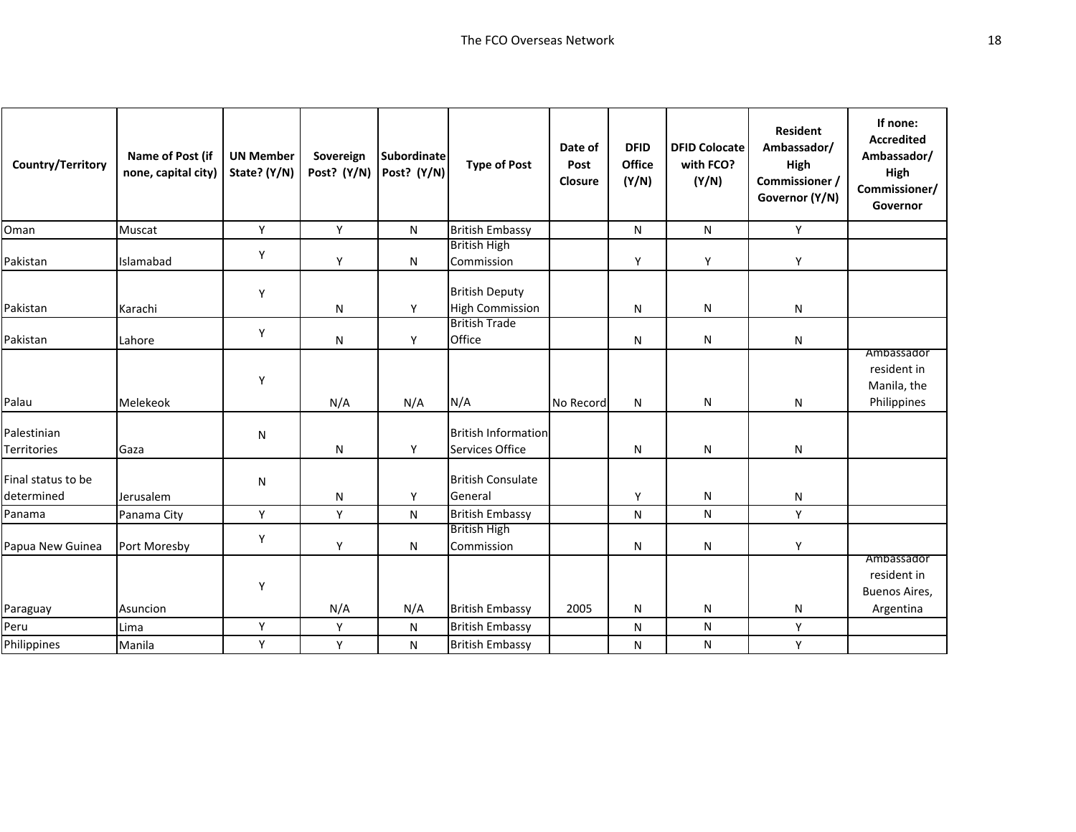| Country/Territory                | Name of Post (if<br>none, capital city) | <b>UN Member</b><br>State? (Y/N) | Sovereign<br>Post? (Y/N) | Subordinate<br>Post? (Y/N) | <b>Type of Post</b>                             | Date of<br>Post<br>Closure | <b>DFID</b><br>Office<br>(Y/N) | <b>DFID Colocate</b><br>with FCO?<br>(Y/N) | <b>Resident</b><br>Ambassador/<br>High<br>Commissioner /<br>Governor (Y/N) | If none:<br><b>Accredited</b><br>Ambassador/<br>High<br>Commissioner/<br>Governor |
|----------------------------------|-----------------------------------------|----------------------------------|--------------------------|----------------------------|-------------------------------------------------|----------------------------|--------------------------------|--------------------------------------------|----------------------------------------------------------------------------|-----------------------------------------------------------------------------------|
| Oman                             | Muscat                                  | Y                                | Y                        | N                          | <b>British Embassy</b>                          |                            | N                              | ${\sf N}$                                  | Y                                                                          |                                                                                   |
| Pakistan                         | Islamabad                               | Υ                                | Y                        | ${\sf N}$                  | <b>British High</b><br>Commission               |                            | Y                              | Y                                          | Y                                                                          |                                                                                   |
| Pakistan                         | Karachi                                 | Y                                | N                        | Y                          | <b>British Deputy</b><br><b>High Commission</b> |                            | N                              | ${\sf N}$                                  | N                                                                          |                                                                                   |
| Pakistan                         | Lahore                                  | Υ                                | N                        | Υ                          | <b>British Trade</b><br>Office                  |                            | N                              | ${\sf N}$                                  | N                                                                          |                                                                                   |
| Palau                            | Melekeok                                | Υ                                | N/A                      | N/A                        | N/A                                             | No Record                  | N                              | ${\sf N}$                                  | N                                                                          | Ambassador<br>resident in<br>Manila, the<br>Philippines                           |
| Palestinian<br>Territories       | Gaza                                    | N                                | N                        | Y                          | <b>British Information</b><br>Services Office   |                            | N                              | N                                          | N                                                                          |                                                                                   |
| Final status to be<br>determined | Jerusalem                               | N                                | N                        | Υ                          | <b>British Consulate</b><br>General             |                            | Y                              | ${\sf N}$                                  | N                                                                          |                                                                                   |
| Panama                           | Panama City                             | Y                                | Y                        | N                          | <b>British Embassy</b>                          |                            | N                              | ${\sf N}$                                  | Y                                                                          |                                                                                   |
| Papua New Guinea                 | Port Moresby                            | Y                                | Υ                        | N                          | <b>British High</b><br>Commission               |                            | N                              | ${\sf N}$                                  | Y                                                                          |                                                                                   |
| Paraguay                         | Asuncion                                | Υ                                | N/A                      | N/A                        | <b>British Embassy</b>                          | 2005                       | N                              | ${\sf N}$                                  | N                                                                          | Ambassador<br>resident in<br>Buenos Aires,<br>Argentina                           |
| Peru                             | Lima                                    | Y                                | Y                        | N                          | <b>British Embassy</b>                          |                            | N                              | N                                          | Y                                                                          |                                                                                   |
| Philippines                      | Manila                                  | Υ                                | Y                        | N                          | <b>British Embassy</b>                          |                            | N                              | N                                          | Y                                                                          |                                                                                   |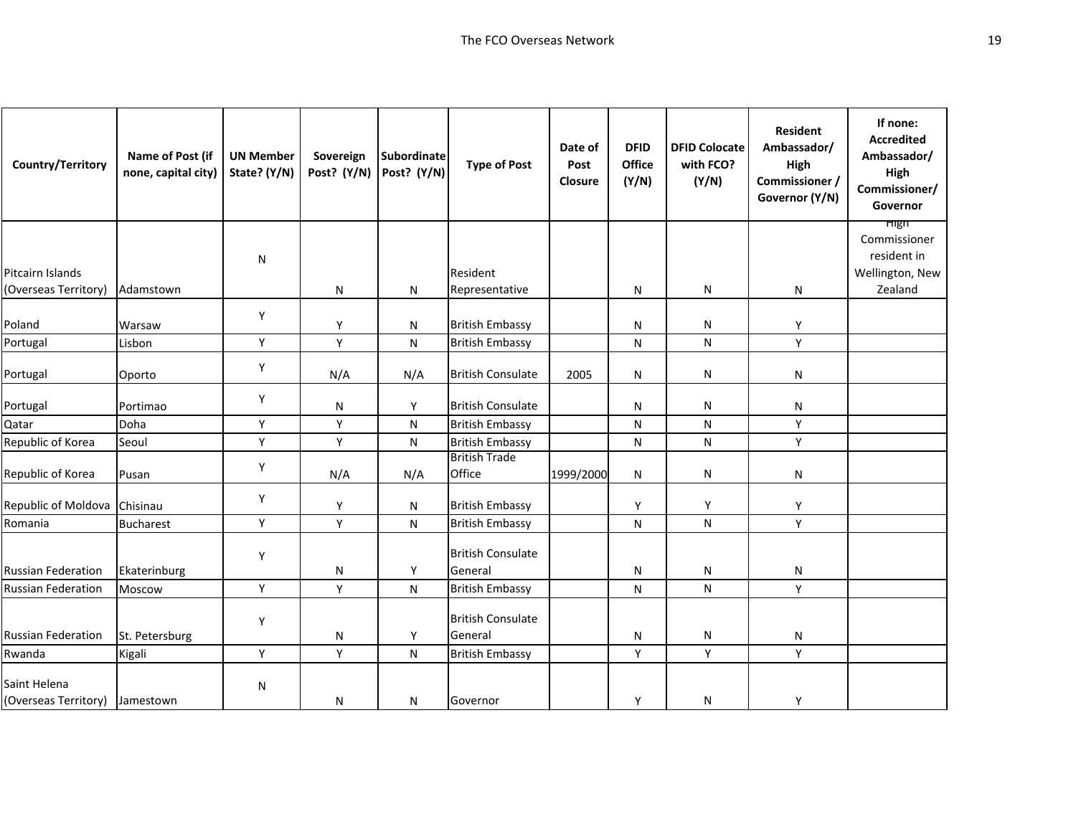| Country/Territory              | Name of Post (if<br>none, capital city) | <b>UN Member</b><br>State? (Y/N) | Sovereign<br>Post? (Y/N) | <b>Subordinate</b><br>Post? (Y/N) | <b>Type of Post</b>            | Date of<br>Post<br>Closure | <b>DFID</b><br>Office<br>(Y/N) | <b>DFID Colocate</b><br>with FCO?<br>(Y/N) | <b>Resident</b><br>Ambassador/<br>High<br>Commissioner /<br>Governor (Y/N) | If none:<br><b>Accredited</b><br>Ambassador/<br>High<br>Commissioner/<br>Governor |
|--------------------------------|-----------------------------------------|----------------------------------|--------------------------|-----------------------------------|--------------------------------|----------------------------|--------------------------------|--------------------------------------------|----------------------------------------------------------------------------|-----------------------------------------------------------------------------------|
|                                |                                         |                                  |                          |                                   |                                |                            |                                |                                            |                                                                            | <b>High</b><br>Commissioner                                                       |
|                                |                                         | N                                |                          |                                   |                                |                            |                                |                                            |                                                                            | resident in                                                                       |
| Pitcairn Islands               |                                         |                                  |                          |                                   | Resident                       |                            |                                |                                            |                                                                            | Wellington, New                                                                   |
| (Overseas Territory)           | Adamstown                               |                                  | N                        | N                                 | Representative                 |                            | N                              | N                                          | N                                                                          | Zealand                                                                           |
|                                |                                         | Υ                                |                          |                                   |                                |                            |                                |                                            |                                                                            |                                                                                   |
| Poland                         | Warsaw                                  |                                  | Υ                        | N                                 | <b>British Embassy</b>         |                            | N                              | N                                          | Υ                                                                          |                                                                                   |
| Portugal                       | Lisbon                                  | Υ                                | Y                        | N                                 | <b>British Embassy</b>         |                            | N                              | N                                          | Y                                                                          |                                                                                   |
| Portugal                       | Oporto                                  | Υ                                | N/A                      | N/A                               | <b>British Consulate</b>       | 2005                       | N                              | N                                          | N                                                                          |                                                                                   |
| Portugal                       | Portimao                                | Υ                                | N                        | Υ                                 | <b>British Consulate</b>       |                            | N                              | N                                          | N                                                                          |                                                                                   |
| Qatar                          | Doha                                    | Υ                                | Y                        | N                                 | <b>British Embassy</b>         |                            | N                              | N                                          | Y                                                                          |                                                                                   |
| Republic of Korea              | Seoul                                   | Υ                                | Υ                        | N                                 | <b>British Embassy</b>         |                            | N                              | ${\sf N}$                                  | Υ                                                                          |                                                                                   |
| Republic of Korea              | Pusan                                   | Υ                                | N/A                      | N/A                               | <b>British Trade</b><br>Office | 1999/2000                  | Ν                              | N                                          | N                                                                          |                                                                                   |
| Republic of Moldova Chisinau   |                                         | Υ                                | Υ                        | N                                 | <b>British Embassy</b>         |                            | Υ                              | Y                                          | Y                                                                          |                                                                                   |
| Romania                        | <b>Bucharest</b>                        | Y                                | Y                        | N                                 | <b>British Embassy</b>         |                            | N                              | ${\sf N}$                                  | Y                                                                          |                                                                                   |
|                                |                                         | Υ                                |                          |                                   | <b>British Consulate</b>       |                            |                                |                                            |                                                                            |                                                                                   |
| <b>Russian Federation</b>      | Ekaterinburg                            |                                  | N                        | Y                                 | General                        |                            | N                              | N                                          | N                                                                          |                                                                                   |
| <b>Russian Federation</b>      | Moscow                                  | Υ                                | Υ                        | N                                 | <b>British Embassy</b>         |                            | N                              | N                                          | Υ                                                                          |                                                                                   |
|                                |                                         | Υ                                |                          |                                   | <b>British Consulate</b>       |                            |                                |                                            |                                                                            |                                                                                   |
| <b>Russian Federation</b>      | St. Petersburg                          |                                  | N                        | Y                                 | General                        |                            | N                              | N                                          | N                                                                          |                                                                                   |
| Rwanda                         | Kigali                                  | Υ                                | Υ                        | ${\sf N}$                         | <b>British Embassy</b>         |                            | Υ                              | Υ                                          | Υ                                                                          |                                                                                   |
| Saint Helena                   |                                         | N                                |                          |                                   |                                |                            |                                |                                            |                                                                            |                                                                                   |
| (Overseas Territory) Jamestown |                                         |                                  | N                        | N                                 | Governor                       |                            | Υ                              | N                                          | Υ                                                                          |                                                                                   |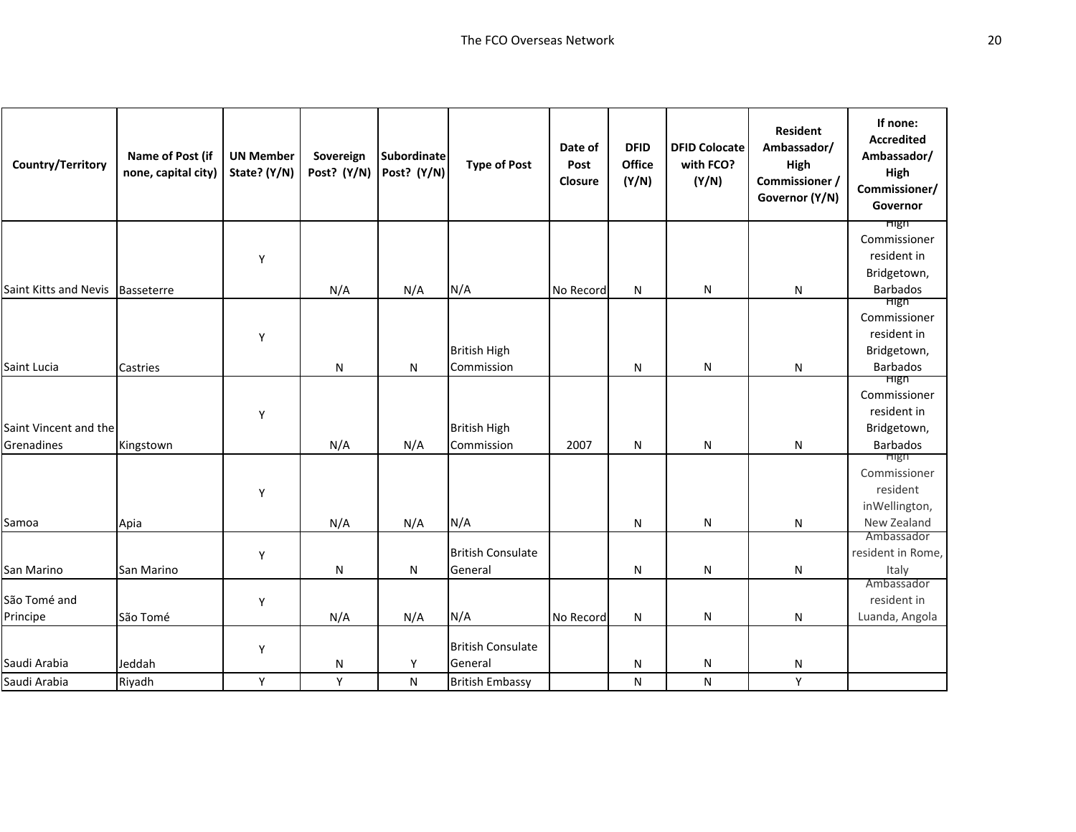| Country/Territory                | Name of Post (if<br>none, capital city) | <b>UN Member</b><br>State? (Y/N) | Sovereign<br>Post? (Y/N) | <b>Subordinate</b><br>Post? (Y/N) | <b>Type of Post</b>      | Date of<br>Post<br>Closure | <b>DFID</b><br><b>Office</b><br>(Y/N) | <b>DFID Colocate</b><br>with FCO?<br>(Y/N) | <b>Resident</b><br>Ambassador/<br>High<br>Commissioner /<br>Governor (Y/N) | If none:<br><b>Accredited</b><br>Ambassador/<br>High<br>Commissioner/<br>Governor |
|----------------------------------|-----------------------------------------|----------------------------------|--------------------------|-----------------------------------|--------------------------|----------------------------|---------------------------------------|--------------------------------------------|----------------------------------------------------------------------------|-----------------------------------------------------------------------------------|
|                                  |                                         |                                  |                          |                                   |                          |                            |                                       |                                            |                                                                            | <b>High</b><br>Commissioner                                                       |
|                                  |                                         | Y                                |                          |                                   |                          |                            |                                       |                                            |                                                                            | resident in                                                                       |
|                                  |                                         |                                  |                          |                                   |                          |                            |                                       |                                            |                                                                            | Bridgetown,                                                                       |
| Saint Kitts and Nevis Basseterre |                                         |                                  | N/A                      | N/A                               | N/A                      | No Record                  | N                                     | $\mathsf{N}$                               | N                                                                          | <b>Barbados</b>                                                                   |
|                                  |                                         |                                  |                          |                                   |                          |                            |                                       |                                            |                                                                            | <b>High</b>                                                                       |
|                                  |                                         |                                  |                          |                                   |                          |                            |                                       |                                            |                                                                            | Commissioner<br>resident in                                                       |
|                                  |                                         | Y                                |                          |                                   | <b>British High</b>      |                            |                                       |                                            |                                                                            | Bridgetown,                                                                       |
| Saint Lucia                      | Castries                                |                                  | N                        | N                                 | Commission               |                            | N                                     | $\mathsf{N}$                               | N                                                                          | <b>Barbados</b>                                                                   |
|                                  |                                         |                                  |                          |                                   |                          |                            |                                       |                                            |                                                                            | High                                                                              |
|                                  |                                         |                                  |                          |                                   |                          |                            |                                       |                                            |                                                                            | Commissioner                                                                      |
|                                  |                                         | Y                                |                          |                                   |                          |                            |                                       |                                            |                                                                            | resident in                                                                       |
| Saint Vincent and the            |                                         |                                  |                          |                                   | <b>British High</b>      |                            |                                       |                                            |                                                                            | Bridgetown,                                                                       |
| Grenadines                       | Kingstown                               |                                  | N/A                      | N/A                               | Commission               | 2007                       | N                                     | $\mathsf{N}$                               | N                                                                          | <b>Barbados</b>                                                                   |
|                                  |                                         |                                  |                          |                                   |                          |                            |                                       |                                            |                                                                            | High<br>Commissioner                                                              |
|                                  |                                         |                                  |                          |                                   |                          |                            |                                       |                                            |                                                                            | resident                                                                          |
|                                  |                                         | Y                                |                          |                                   |                          |                            |                                       |                                            |                                                                            | inWellington,                                                                     |
| Samoa                            | Apia                                    |                                  | N/A                      | N/A                               | N/A                      |                            | N                                     | $\mathsf{N}$                               | N                                                                          | New Zealand                                                                       |
|                                  |                                         |                                  |                          |                                   |                          |                            |                                       |                                            |                                                                            | Ambassador                                                                        |
|                                  |                                         | Y                                |                          |                                   | <b>British Consulate</b> |                            |                                       |                                            |                                                                            | resident in Rome,                                                                 |
| San Marino                       | San Marino                              |                                  | N                        | ${\sf N}$                         | General                  |                            | N                                     | $\mathsf{N}$                               | N                                                                          | Italy                                                                             |
|                                  |                                         |                                  |                          |                                   |                          |                            |                                       |                                            |                                                                            | Ambassador                                                                        |
| São Tomé and                     |                                         | Y                                |                          |                                   |                          |                            |                                       |                                            |                                                                            | resident in                                                                       |
| Principe                         | São Tomé                                |                                  | N/A                      | N/A                               | N/A                      | No Record                  | N                                     | $\mathsf{N}$                               | N                                                                          | Luanda, Angola                                                                    |
|                                  |                                         |                                  |                          |                                   | <b>British Consulate</b> |                            |                                       |                                            |                                                                            |                                                                                   |
| Saudi Arabia                     | Jeddah                                  | Y                                | N                        | Y                                 | General                  |                            | N                                     | N                                          | N                                                                          |                                                                                   |
| Saudi Arabia                     | Riyadh                                  | Y                                | Y                        | ${\sf N}$                         | <b>British Embassy</b>   |                            | N                                     | $\mathsf{N}$                               | Y                                                                          |                                                                                   |
|                                  |                                         |                                  |                          |                                   |                          |                            |                                       |                                            |                                                                            |                                                                                   |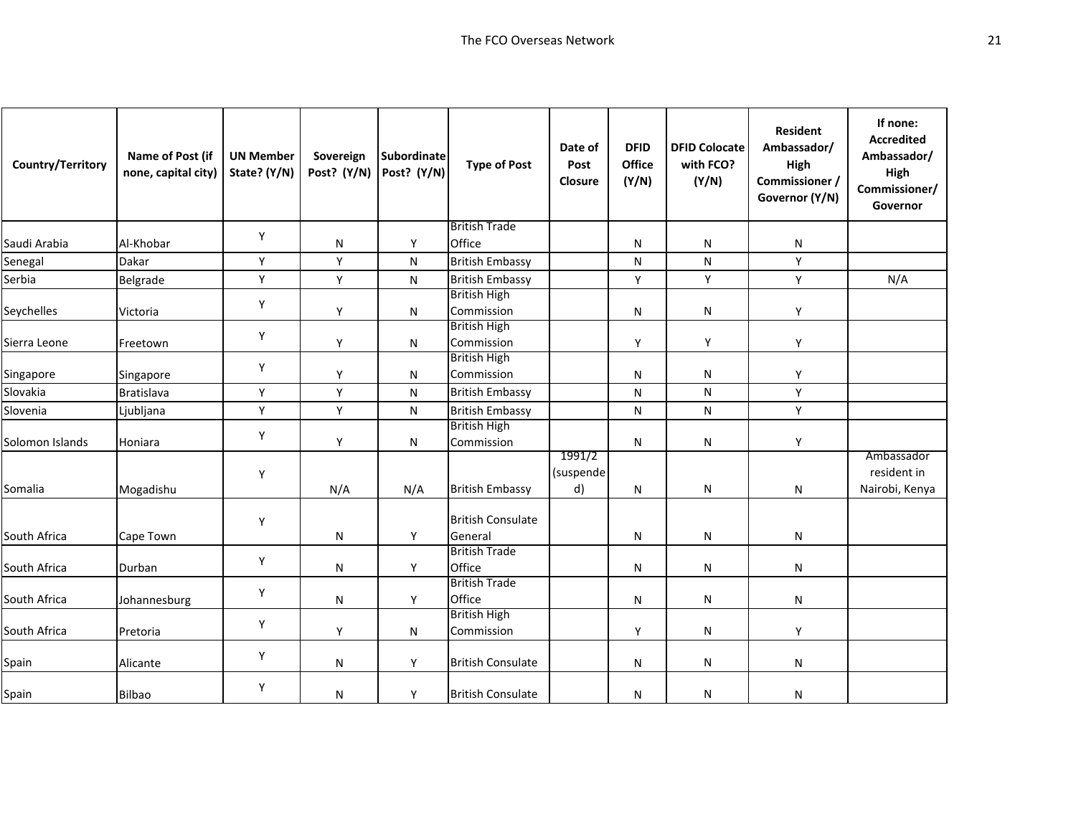| Country/Territory | Name of Post (if<br>none, capital city) | <b>UN Member</b><br>State? (Y/N) | Sovereign<br>Post? (Y/N) | <b>Subordinate</b><br>Post? (Y/N) | <b>Type of Post</b>                 | Date of<br>Post<br>Closure | <b>DFID</b><br><b>Office</b><br>(Y/N) | <b>DFID Colocate</b><br>with FCO?<br>(Y/N) | <b>Resident</b><br>Ambassador/<br>High<br>Commissioner /<br>Governor (Y/N) | If none:<br><b>Accredited</b><br>Ambassador/<br>High<br>Commissioner/<br>Governor |
|-------------------|-----------------------------------------|----------------------------------|--------------------------|-----------------------------------|-------------------------------------|----------------------------|---------------------------------------|--------------------------------------------|----------------------------------------------------------------------------|-----------------------------------------------------------------------------------|
|                   |                                         | Υ                                |                          |                                   | <b>British Trade</b>                |                            |                                       |                                            |                                                                            |                                                                                   |
| Saudi Arabia      | Al-Khobar                               |                                  | $\mathsf{N}$             | Y                                 | Office                              |                            | N                                     | N                                          | N                                                                          |                                                                                   |
| Senegal           | Dakar                                   | Y                                | Y                        | N                                 | <b>British Embassy</b>              |                            | N                                     | N                                          | Y                                                                          |                                                                                   |
| Serbia            | Belgrade                                | Υ                                | Υ                        | N                                 | <b>British Embassy</b>              |                            | Υ                                     | Υ                                          | Y                                                                          | N/A                                                                               |
| Seychelles        | Victoria                                | Υ                                | Y                        | N                                 | <b>British High</b><br>Commission   |                            | ${\sf N}$                             | N                                          | Υ                                                                          |                                                                                   |
| Sierra Leone      | Freetown                                | Υ                                | Y                        | N                                 | <b>British High</b><br>Commission   |                            | Y                                     | Y                                          | Y                                                                          |                                                                                   |
| Singapore         | Singapore                               | Y                                | Y                        | N                                 | <b>British High</b><br>Commission   |                            | N                                     | N                                          | Y                                                                          |                                                                                   |
| Slovakia          | <b>Bratislava</b>                       | Υ                                | Υ                        | ${\sf N}$                         | <b>British Embassy</b>              |                            | N                                     | ${\sf N}$                                  | Y                                                                          |                                                                                   |
| Slovenia          | Ljubljana                               | Υ                                | Y                        | N                                 | <b>British Embassy</b>              |                            | N                                     | ${\sf N}$                                  | Y                                                                          |                                                                                   |
| Solomon Islands   | Honiara                                 | Υ                                | Y                        | N                                 | <b>British High</b><br>Commission   |                            | N                                     | N                                          | Y                                                                          |                                                                                   |
| Somalia           | Mogadishu                               | Υ                                | N/A                      | N/A                               | <b>British Embassy</b>              | 1991/2<br>(suspende<br>d)  | N                                     | N                                          | N                                                                          | Ambassador<br>resident in<br>Nairobi, Kenya                                       |
| South Africa      | Cape Town                               | Y                                | N                        | Y                                 | <b>British Consulate</b><br>General |                            | N                                     | N                                          | N                                                                          |                                                                                   |
| South Africa      | Durban                                  | Υ                                | $\mathsf{N}$             | Y                                 | <b>British Trade</b><br>Office      |                            | N                                     | N                                          | N                                                                          |                                                                                   |
| South Africa      | Johannesburg                            | Υ                                | $\mathsf{N}$             | Y                                 | <b>British Trade</b><br>Office      |                            | N                                     | N                                          | N                                                                          |                                                                                   |
| South Africa      | Pretoria                                | Υ                                | Y                        | N                                 | <b>British High</b><br>Commission   |                            | Υ                                     | N                                          | Υ                                                                          |                                                                                   |
| Spain             | Alicante                                | Υ                                | N                        | Y                                 | <b>British Consulate</b>            |                            | N                                     | N                                          | N                                                                          |                                                                                   |
| Spain             | <b>Bilbao</b>                           | Υ                                | N                        | Υ                                 | <b>British Consulate</b>            |                            | N                                     | N                                          | N                                                                          |                                                                                   |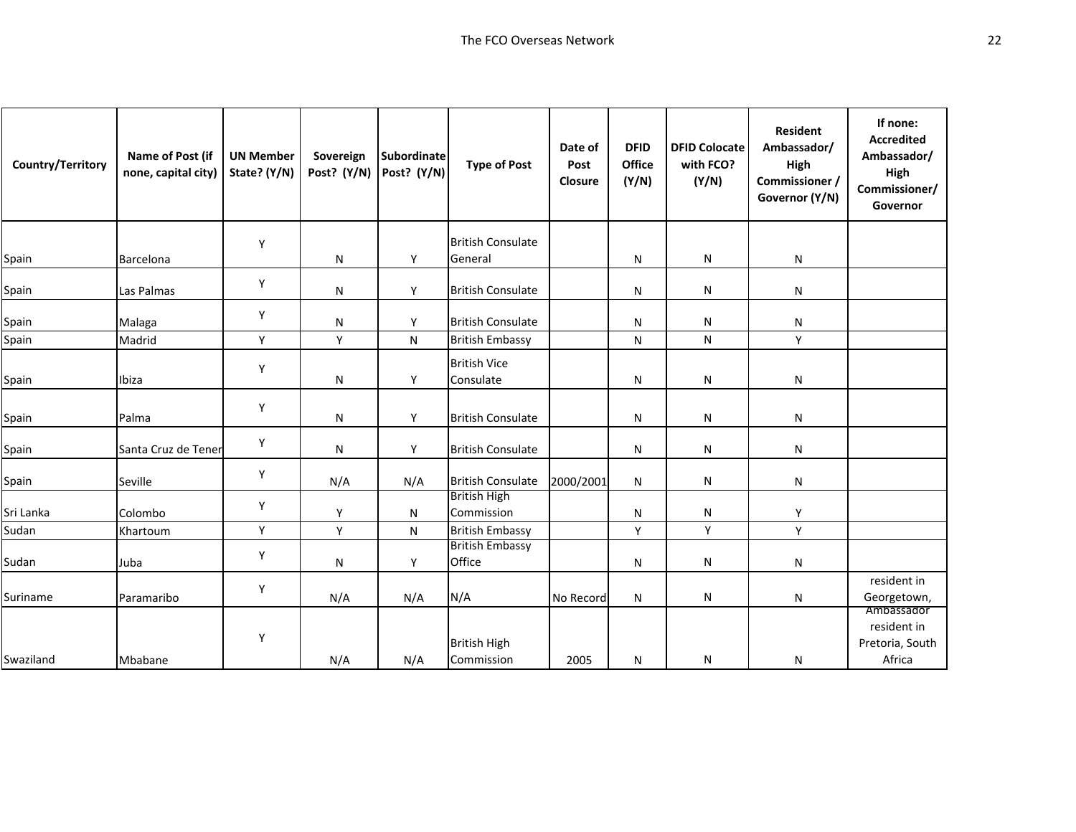| Country/Territory | Name of Post (if<br>none, capital city) | <b>UN Member</b><br>State? (Y/N) | Sovereign<br>Post? (Y/N) | <b>Subordinate</b><br>Post? (Y/N) | <b>Type of Post</b>               | Date of<br>Post<br>Closure | <b>DFID</b><br>Office<br>(Y/N) | <b>DFID Colocate</b><br>with FCO?<br>(Y/N) | <b>Resident</b><br>Ambassador/<br>High<br>Commissioner /<br>Governor (Y/N) | If none:<br><b>Accredited</b><br>Ambassador/<br>High<br>Commissioner/<br>Governor |
|-------------------|-----------------------------------------|----------------------------------|--------------------------|-----------------------------------|-----------------------------------|----------------------------|--------------------------------|--------------------------------------------|----------------------------------------------------------------------------|-----------------------------------------------------------------------------------|
|                   |                                         | Y                                |                          |                                   | <b>British Consulate</b>          |                            |                                |                                            |                                                                            |                                                                                   |
| Spain             | Barcelona                               |                                  | N                        | Y                                 | General                           |                            | N                              | ${\sf N}$                                  | N                                                                          |                                                                                   |
| Spain             | Las Palmas                              | Y                                | N                        | Y                                 | <b>British Consulate</b>          |                            | N                              | N                                          | N                                                                          |                                                                                   |
| Spain             | Malaga                                  | Υ                                | ${\sf N}$                | Y                                 | <b>British Consulate</b>          |                            | N                              | ${\sf N}$                                  | N                                                                          |                                                                                   |
| Spain             | Madrid                                  | Y                                | Υ                        | N                                 | <b>British Embassy</b>            |                            | N                              | $\mathsf{N}$                               | Y                                                                          |                                                                                   |
| Spain             | Ibiza                                   | Y                                | N                        | Y                                 | <b>British Vice</b><br>Consulate  |                            | N                              | ${\sf N}$                                  | N                                                                          |                                                                                   |
| Spain             | Palma                                   | Y                                | N                        | Y                                 | <b>British Consulate</b>          |                            | N                              | N                                          | N                                                                          |                                                                                   |
| Spain             | Santa Cruz de Tener                     | Υ                                | N                        | Y                                 | <b>British Consulate</b>          |                            | N                              | N                                          | N                                                                          |                                                                                   |
| Spain             | Seville                                 | Y                                | N/A                      | N/A                               | <b>British Consulate</b>          | 2000/2001                  | N                              | N                                          | N                                                                          |                                                                                   |
| Sri Lanka         | Colombo                                 | Υ                                | Υ                        | N                                 | <b>British High</b><br>Commission |                            | N                              | ${\sf N}$                                  | Y                                                                          |                                                                                   |
| Sudan             | Khartoum                                | Υ                                | Y                        | N                                 | <b>British Embassy</b>            |                            | Y                              | Y                                          | Y                                                                          |                                                                                   |
| Sudan             | Juba                                    | Y                                | N                        | Υ                                 | <b>British Embassy</b><br>Office  |                            | N                              | ${\sf N}$                                  | N                                                                          |                                                                                   |
| Suriname          | Paramaribo                              | Υ                                | N/A                      | N/A                               | N/A                               | No Record                  | N                              | N                                          | N                                                                          | resident in<br>Georgetown,                                                        |
| Swaziland         | Mbabane                                 | Υ                                | N/A                      | N/A                               | <b>British High</b><br>Commission | 2005                       | N                              | ${\sf N}$                                  | N                                                                          | Ambassador<br>resident in<br>Pretoria, South<br>Africa                            |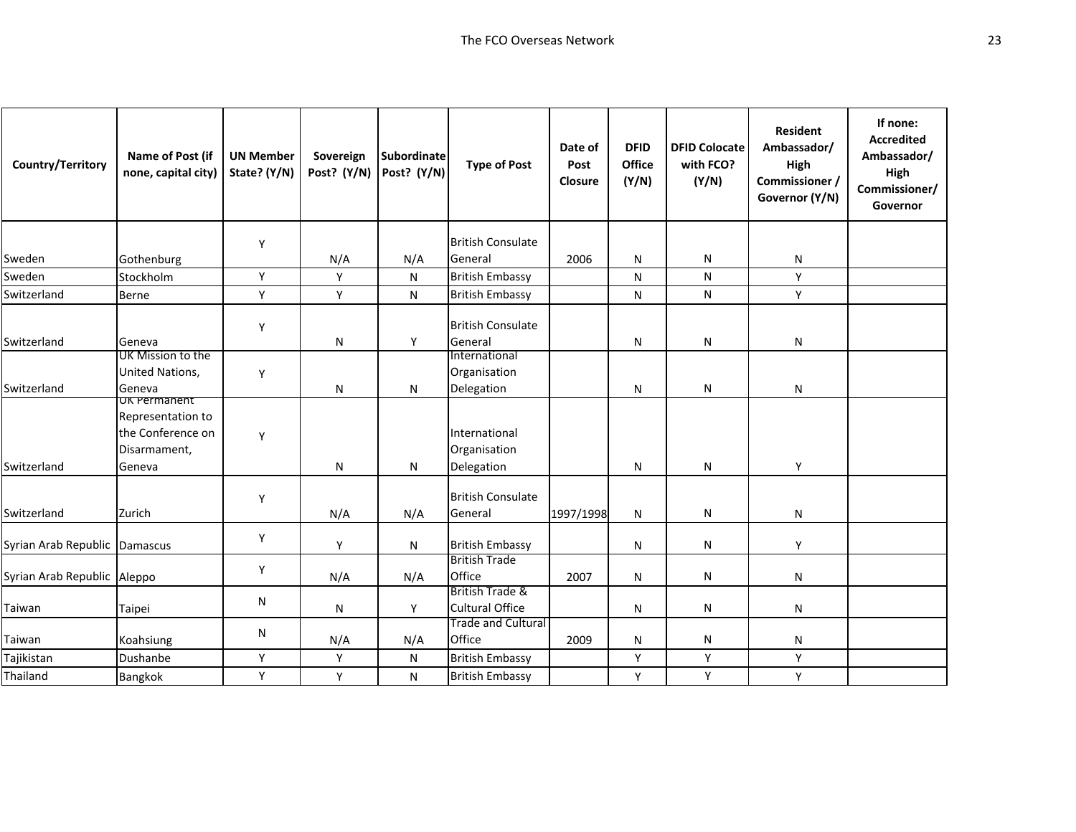| Country/Territory             | Name of Post (if<br>none, capital city)                                          | <b>UN Member</b><br>State? (Y/N) | Sovereign<br>Post? (Y/N) | Subordinate<br>Post? (Y/N) | <b>Type of Post</b>                         | Date of<br>Post<br>Closure | <b>DFID</b><br>Office<br>(Y/N) | <b>DFID Colocate</b><br>with FCO?<br>(Y/N) | <b>Resident</b><br>Ambassador/<br>High<br>Commissioner /<br>Governor (Y/N) | If none:<br><b>Accredited</b><br>Ambassador/<br>High<br>Commissioner/<br>Governor |
|-------------------------------|----------------------------------------------------------------------------------|----------------------------------|--------------------------|----------------------------|---------------------------------------------|----------------------------|--------------------------------|--------------------------------------------|----------------------------------------------------------------------------|-----------------------------------------------------------------------------------|
|                               |                                                                                  | Y                                |                          |                            | <b>British Consulate</b>                    |                            |                                |                                            |                                                                            |                                                                                   |
| Sweden                        | Gothenburg                                                                       |                                  | N/A                      | N/A                        | General                                     | 2006                       | N                              | N                                          | N                                                                          |                                                                                   |
| Sweden                        | Stockholm                                                                        | Y                                | Y                        | N                          | <b>British Embassy</b>                      |                            | N                              | N                                          | Y                                                                          |                                                                                   |
| Switzerland                   | <b>Berne</b>                                                                     | Υ                                | Υ                        | N                          | <b>British Embassy</b>                      |                            | N                              | N                                          | Υ                                                                          |                                                                                   |
| Switzerland                   | Geneva                                                                           | Y                                | N                        | Υ                          | <b>British Consulate</b><br>General         |                            | N                              | N                                          | N                                                                          |                                                                                   |
| Switzerland                   | UK Mission to the<br>United Nations,<br>Geneva                                   | Y                                | N                        | N                          | International<br>Organisation<br>Delegation |                            | N                              | N                                          | N                                                                          |                                                                                   |
| Switzerland                   | UK Permanent<br>Representation to<br>the Conference on<br>Disarmament,<br>Geneva | Y                                | N                        | N                          | International<br>Organisation<br>Delegation |                            | N                              | $\mathsf{N}$                               | Y                                                                          |                                                                                   |
| Switzerland                   | Zurich                                                                           | Y                                | N/A                      | N/A                        | <b>British Consulate</b><br>General         | 1997/1998                  | N                              | N                                          | N                                                                          |                                                                                   |
| Syrian Arab Republic Damascus |                                                                                  | Y                                | Y                        | N                          | <b>British Embassy</b>                      |                            | N                              | N                                          | Y                                                                          |                                                                                   |
| Syrian Arab Republic Aleppo   |                                                                                  | Y                                | N/A                      | N/A                        | <b>British Trade</b><br>Office              | 2007                       | N                              | N                                          | N                                                                          |                                                                                   |
| Taiwan                        | Taipei                                                                           | N                                | N                        | Υ                          | British Trade &<br><b>Cultural Office</b>   |                            | N                              | N                                          | N                                                                          |                                                                                   |
| Taiwan                        | Koahsiung                                                                        | N                                | N/A                      | N/A                        | <b>Trade and Cultural</b><br>Office         | 2009                       | N                              | N                                          | N                                                                          |                                                                                   |
| Tajikistan                    | Dushanbe                                                                         | Υ                                | Y                        | N                          | <b>British Embassy</b>                      |                            | Υ                              | $\mathsf Y$                                | Y                                                                          |                                                                                   |
| Thailand                      | Bangkok                                                                          | Y                                | Y                        | N                          | <b>British Embassy</b>                      |                            | Y                              | Y                                          | Y                                                                          |                                                                                   |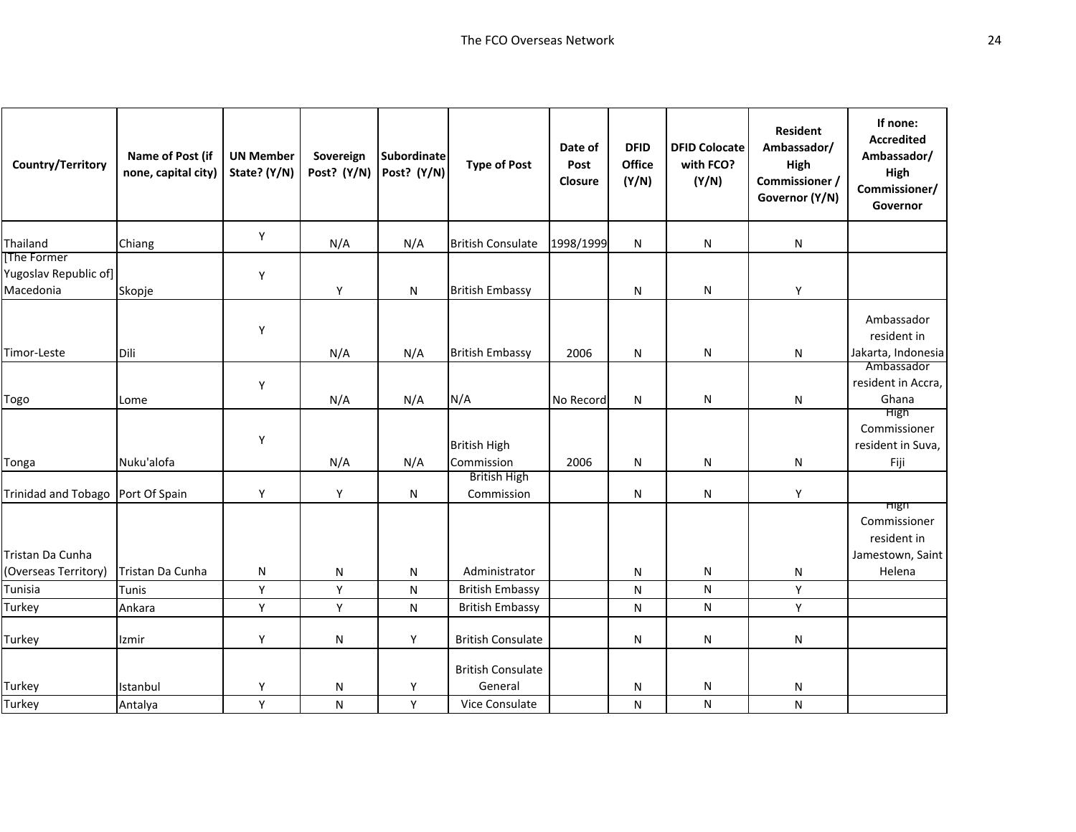| Country/Territory                                | Name of Post (if<br>none, capital city) | <b>UN Member</b><br>State? (Y/N) | Sovereign<br>Post? (Y/N) | Subordinate<br>Post? (Y/N) | <b>Type of Post</b>                                   | Date of<br>Post<br>Closure | <b>DFID</b><br>Office<br>(Y/N) | <b>DFID Colocate</b><br>with FCO?<br>(Y/N) | <b>Resident</b><br>Ambassador/<br>High<br>Commissioner /<br>Governor (Y/N) | If none:<br><b>Accredited</b><br>Ambassador/<br>High<br>Commissioner/<br>Governor |
|--------------------------------------------------|-----------------------------------------|----------------------------------|--------------------------|----------------------------|-------------------------------------------------------|----------------------------|--------------------------------|--------------------------------------------|----------------------------------------------------------------------------|-----------------------------------------------------------------------------------|
| Thailand                                         | Chiang                                  | Y                                | N/A                      | N/A                        | <b>British Consulate</b>                              | 1998/1999                  | ${\sf N}$                      | ${\sf N}$                                  | N                                                                          |                                                                                   |
| The Former<br>Yugoslav Republic of]<br>Macedonia | Skopje                                  | Υ                                | Υ                        | N                          | <b>British Embassy</b>                                |                            | N                              | ${\sf N}$                                  | Y                                                                          |                                                                                   |
| Timor-Leste                                      | Dili                                    | Υ                                | N/A                      | N/A                        | <b>British Embassy</b>                                | 2006                       | N                              | N                                          | N                                                                          | Ambassador<br>resident in<br>Jakarta, Indonesia                                   |
| Togo                                             | Lome                                    | Υ                                | N/A                      | N/A                        | N/A                                                   | No Record                  | N                              | ${\sf N}$                                  | N                                                                          | Ambassador<br>resident in Accra,<br>Ghana                                         |
| Tonga                                            | Nuku'alofa                              | Υ                                | N/A                      | N/A                        | <b>British High</b><br>Commission                     | 2006                       | N                              | N                                          | N                                                                          | High<br>Commissioner<br>resident in Suva,<br>Fiji                                 |
| Trinidad and Tobago Port Of Spain                |                                         | Y                                | Y                        | N                          | <b>British High</b><br>Commission                     |                            | N                              | N                                          | Y                                                                          |                                                                                   |
| Tristan Da Cunha<br>(Overseas Territory)         | Tristan Da Cunha                        | N                                | N                        | N                          | Administrator                                         |                            | N                              | N                                          | N                                                                          | mgn<br>Commissioner<br>resident in<br>Jamestown, Saint<br>Helena                  |
| Tunisia                                          | Tunis                                   | Y                                | Y                        | N                          | <b>British Embassy</b>                                |                            | N                              | ${\sf N}$                                  | Y                                                                          |                                                                                   |
| Turkey                                           | Ankara                                  | Y                                | Υ                        | N                          | <b>British Embassy</b>                                |                            | N                              | ${\sf N}$                                  | Y                                                                          |                                                                                   |
| Turkey                                           | Izmir                                   | Υ                                | N                        | Y                          | <b>British Consulate</b>                              |                            | N                              | N                                          | N                                                                          |                                                                                   |
| Turkey<br>Turkey                                 | Istanbul<br>Antalya                     | Υ<br>Υ                           | N<br>${\sf N}$           | Y<br>Y                     | <b>British Consulate</b><br>General<br>Vice Consulate |                            | N<br>N                         | N<br>${\sf N}$                             | N<br>N                                                                     |                                                                                   |
|                                                  |                                         |                                  |                          |                            |                                                       |                            |                                |                                            |                                                                            |                                                                                   |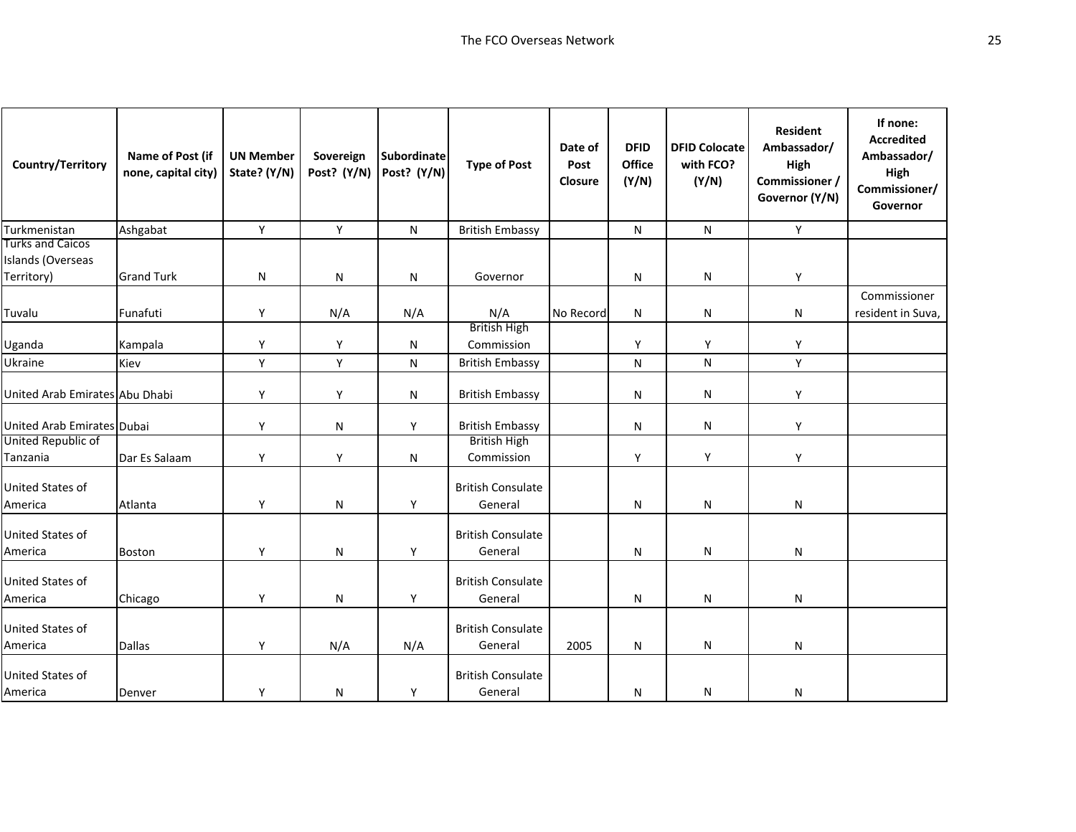| Country/Territory                                          | Name of Post (if<br>none, capital city) | <b>UN Member</b><br>State? (Y/N) | Sovereign<br>Post? (Y/N) | <b>Subordinate</b><br>Post? (Y/N) | <b>Type of Post</b>                 | Date of<br>Post<br>Closure | <b>DFID</b><br>Office<br>(Y/N) | <b>DFID Colocate</b><br>with FCO?<br>(Y/N) | <b>Resident</b><br>Ambassador/<br>High<br>Commissioner /<br>Governor (Y/N) | If none:<br><b>Accredited</b><br>Ambassador/<br>High<br>Commissioner/<br>Governor |
|------------------------------------------------------------|-----------------------------------------|----------------------------------|--------------------------|-----------------------------------|-------------------------------------|----------------------------|--------------------------------|--------------------------------------------|----------------------------------------------------------------------------|-----------------------------------------------------------------------------------|
| Turkmenistan                                               | Ashgabat                                | Υ                                | Y                        | ${\sf N}$                         | <b>British Embassy</b>              |                            | N                              | ${\sf N}$                                  | Y                                                                          |                                                                                   |
| <b>Turks and Caicos</b><br>Islands (Overseas<br>Territory) | <b>Grand Turk</b>                       | N                                | ${\sf N}$                | N                                 | Governor                            |                            | N                              | N                                          | Y                                                                          |                                                                                   |
|                                                            |                                         |                                  |                          |                                   |                                     |                            |                                |                                            |                                                                            | Commissioner                                                                      |
| Tuvalu                                                     | Funafuti                                | Υ                                | N/A                      | N/A                               | N/A                                 | No Record                  | N                              | N                                          | N                                                                          | resident in Suva,                                                                 |
| Uganda                                                     | Kampala                                 | Υ                                | Υ                        | N                                 | <b>British High</b><br>Commission   |                            | Υ                              | Y                                          | Υ                                                                          |                                                                                   |
| Ukraine                                                    | Kiev                                    | Υ                                | Υ                        | N                                 | <b>British Embassy</b>              |                            | N                              | N                                          | Υ                                                                          |                                                                                   |
| United Arab Emirates Abu Dhabi                             |                                         | Υ                                | Y                        | N                                 | <b>British Embassy</b>              |                            | N                              | N                                          | Υ                                                                          |                                                                                   |
| United Arab Emirates Dubai                                 |                                         | Υ                                | N                        | Y                                 | <b>British Embassy</b>              |                            | N                              | N                                          | Υ                                                                          |                                                                                   |
| United Republic of<br>Tanzania                             | Dar Es Salaam                           | Υ                                | Y                        | N                                 | <b>British High</b><br>Commission   |                            | Υ                              | Υ                                          | Υ                                                                          |                                                                                   |
| United States of<br>America                                | Atlanta                                 | Υ                                | N                        | Y                                 | <b>British Consulate</b><br>General |                            | N                              | N                                          | N                                                                          |                                                                                   |
| United States of<br>America                                | <b>Boston</b>                           | Υ                                | N                        | Υ                                 | <b>British Consulate</b><br>General |                            | N                              | N                                          | N                                                                          |                                                                                   |
| United States of<br>America                                | Chicago                                 | Υ                                | N                        | Υ                                 | <b>British Consulate</b><br>General |                            | N                              | N                                          | N                                                                          |                                                                                   |
| United States of<br>America                                | <b>Dallas</b>                           | Υ                                | N/A                      | N/A                               | <b>British Consulate</b><br>General | 2005                       | N                              | N                                          | N                                                                          |                                                                                   |
| United States of<br>America                                | Denver                                  | Υ                                | ${\sf N}$                | Υ                                 | <b>British Consulate</b><br>General |                            | N                              | N                                          | N                                                                          |                                                                                   |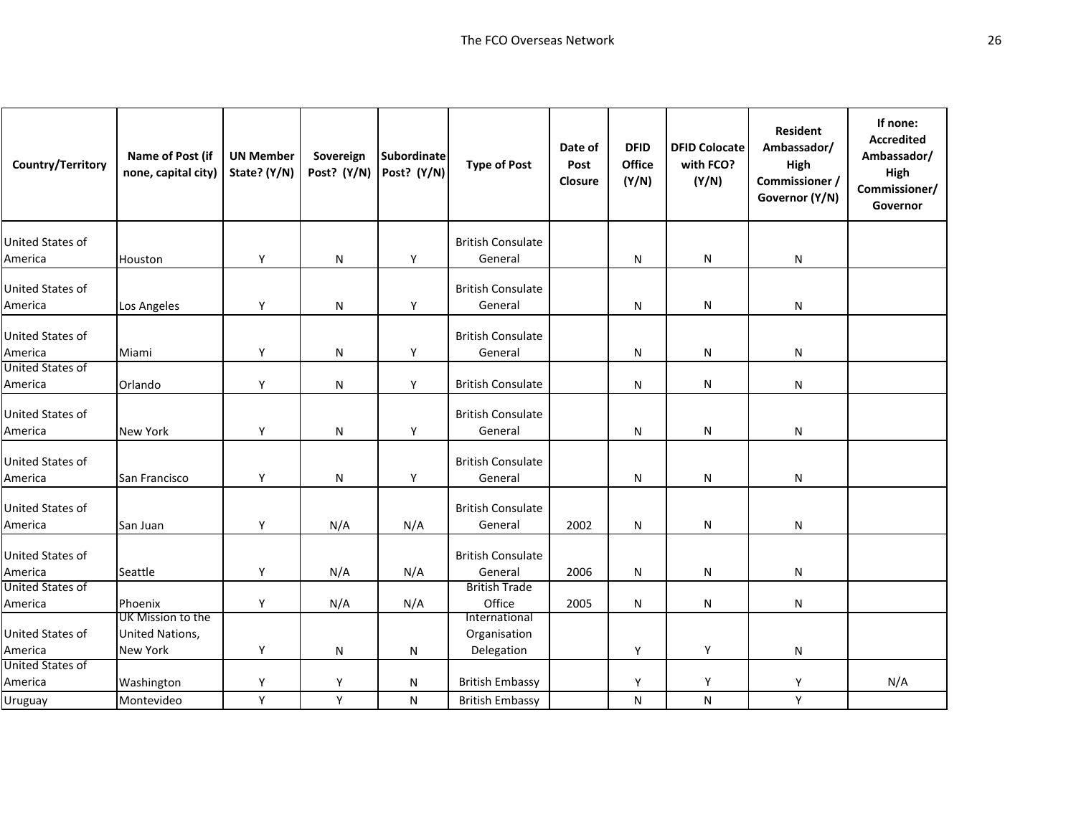| Country/Territory           | Name of Post (if<br>none, capital city)                 | <b>UN Member</b><br>State? (Y/N) | Sovereign<br>Post? (Y/N) | Subordinate<br>Post? (Y/N) | <b>Type of Post</b>                         | Date of<br>Post<br>Closure | <b>DFID</b><br>Office<br>(Y/N) | <b>DFID Colocate</b><br>with FCO?<br>(Y/N) | <b>Resident</b><br>Ambassador/<br>High<br>Commissioner /<br>Governor (Y/N) | If none:<br><b>Accredited</b><br>Ambassador/<br>High<br>Commissioner/<br>Governor |
|-----------------------------|---------------------------------------------------------|----------------------------------|--------------------------|----------------------------|---------------------------------------------|----------------------------|--------------------------------|--------------------------------------------|----------------------------------------------------------------------------|-----------------------------------------------------------------------------------|
| United States of<br>America | Houston                                                 | Υ                                | ${\sf N}$                | Υ                          | <b>British Consulate</b><br>General         |                            | N                              | N                                          | N                                                                          |                                                                                   |
| United States of<br>America | Los Angeles                                             | Υ                                | N                        | Υ                          | <b>British Consulate</b><br>General         |                            | N                              | N                                          | N                                                                          |                                                                                   |
| United States of<br>America | Miami                                                   | Y                                | ${\sf N}$                | Y                          | <b>British Consulate</b><br>General         |                            | N                              | N                                          | N                                                                          |                                                                                   |
| United States of<br>America | Orlando                                                 | Y                                | $\mathsf{N}$             | Y                          | <b>British Consulate</b>                    |                            | N                              | N                                          | N                                                                          |                                                                                   |
| United States of<br>America | <b>New York</b>                                         | Υ                                | N                        | Y                          | <b>British Consulate</b><br>General         |                            | N                              | N                                          | N                                                                          |                                                                                   |
| United States of<br>America | San Francisco                                           | Υ                                | N                        | Υ                          | <b>British Consulate</b><br>General         |                            | N                              | N                                          | N                                                                          |                                                                                   |
| United States of<br>America | San Juan                                                | Y                                | N/A                      | N/A                        | <b>British Consulate</b><br>General         | 2002                       | N                              | N                                          | N                                                                          |                                                                                   |
| United States of<br>America | Seattle                                                 | Υ                                | N/A                      | N/A                        | <b>British Consulate</b><br>General         | 2006                       | N                              | N                                          | N                                                                          |                                                                                   |
| United States of<br>America | Phoenix                                                 | Y                                | N/A                      | N/A                        | <b>British Trade</b><br>Office              | 2005                       | N                              | N                                          | N                                                                          |                                                                                   |
| United States of<br>America | UK Mission to the<br>United Nations,<br><b>New York</b> | Υ                                | N                        | N                          | International<br>Organisation<br>Delegation |                            | Y                              | Y                                          | N                                                                          |                                                                                   |
| United States of<br>America | Washington                                              | Υ                                | Y                        | N                          | <b>British Embassy</b>                      |                            | Y                              | Y                                          | Y                                                                          | N/A                                                                               |
| Uruguay                     | Montevideo                                              | Y                                | Y                        | N                          | <b>British Embassy</b>                      |                            | N                              | N                                          | Y                                                                          |                                                                                   |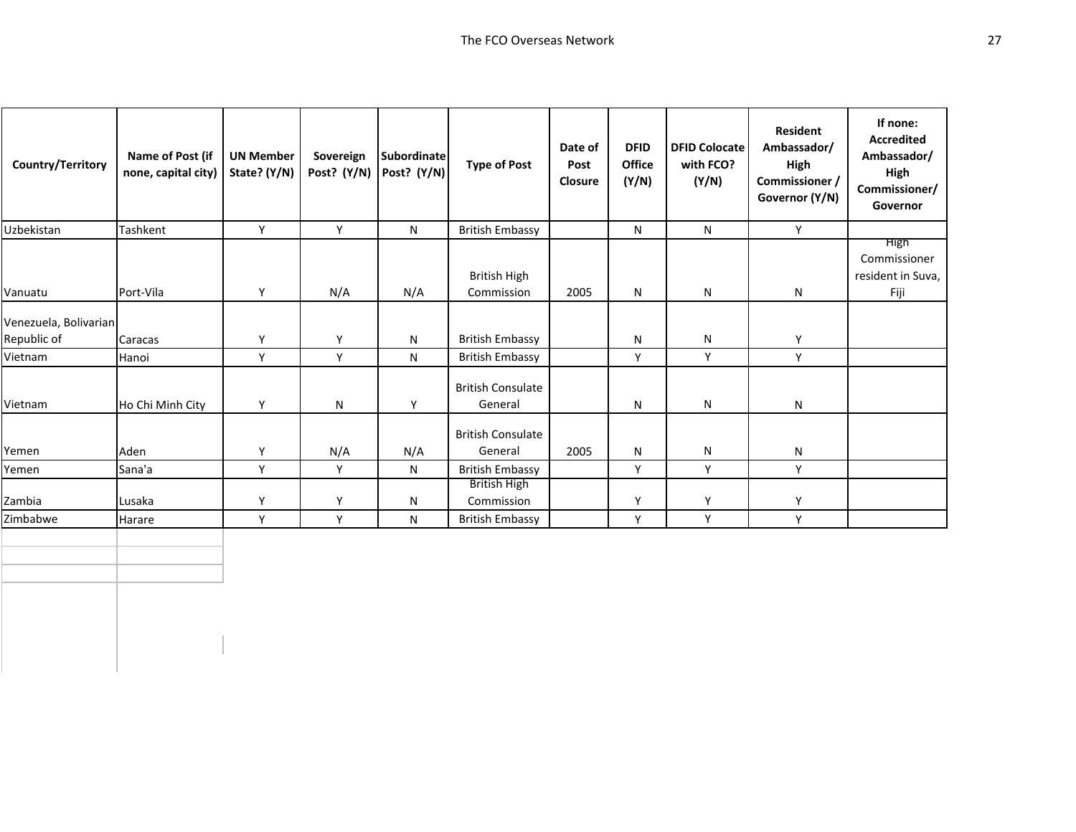| Country/Territory                    | Name of Post (if<br>none, capital city) | <b>UN Member</b><br>State? (Y/N) | Sovereign<br>Post? (Y/N) | Subordinate<br>Post? (Y/N) | <b>Type of Post</b>                 | Date of<br>Post<br>Closure | <b>DFID</b><br>Office<br>(Y/N) | <b>DFID Colocate</b><br>with FCO?<br>(Y/N) | <b>Resident</b><br>Ambassador/<br>High<br>Commissioner /<br>Governor (Y/N) | If none:<br><b>Accredited</b><br>Ambassador/<br>High<br>Commissioner/<br>Governor |
|--------------------------------------|-----------------------------------------|----------------------------------|--------------------------|----------------------------|-------------------------------------|----------------------------|--------------------------------|--------------------------------------------|----------------------------------------------------------------------------|-----------------------------------------------------------------------------------|
| Uzbekistan                           | Tashkent                                | Y                                | Y                        | N                          | <b>British Embassy</b>              |                            | N                              | N                                          | Y                                                                          |                                                                                   |
| Vanuatu                              | Port-Vila                               | Y                                | N/A                      | N/A                        | <b>British High</b><br>Commission   | 2005                       | N                              | N                                          | N                                                                          | <b>High</b><br>Commissioner<br>resident in Suva,<br>Fiji                          |
| Venezuela, Bolivarian<br>Republic of | Caracas                                 | Y                                | Y                        | N                          | <b>British Embassy</b>              |                            | N                              | ${\sf N}$                                  | Y                                                                          |                                                                                   |
| Vietnam                              | Hanoi                                   | Υ                                | Y                        | N                          | <b>British Embassy</b>              |                            | Y                              | Y                                          | Y                                                                          |                                                                                   |
| Vietnam                              | Ho Chi Minh City                        | Y                                | N                        | Y                          | <b>British Consulate</b><br>General |                            | N                              | N                                          | N                                                                          |                                                                                   |
| Yemen                                | Aden                                    | Y                                | N/A                      | N/A                        | <b>British Consulate</b><br>General | 2005                       | N                              | N                                          | N                                                                          |                                                                                   |
| Yemen                                | Sana'a                                  | Y                                | Y                        | N                          | <b>British Embassy</b>              |                            | Y                              | Y                                          | Y                                                                          |                                                                                   |
| Zambia                               | Lusaka                                  | Υ                                | Y                        | N                          | <b>British High</b><br>Commission   |                            | Y                              | Y                                          | Y                                                                          |                                                                                   |
| Zimbabwe                             | Harare                                  | Y                                | Y                        | N                          | <b>British Embassy</b>              |                            | Y                              | Y                                          | Y                                                                          |                                                                                   |
|                                      |                                         |                                  |                          |                            |                                     |                            |                                |                                            |                                                                            |                                                                                   |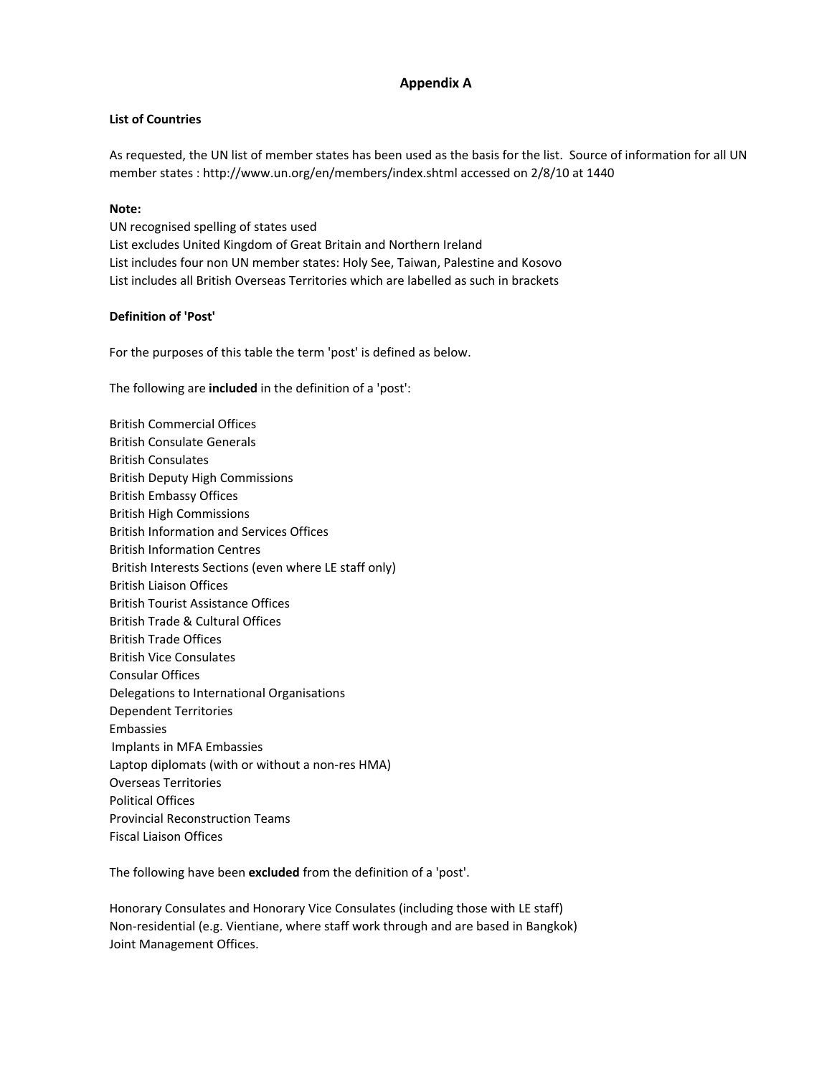## **Appendix A**

## **List of Countries**

As requested, the UN list of member states has been used as the basis for the list. Source of information for all UN member states : http://www.un.org/en/members/index.shtml accessed on 2/8/10 at 1440

#### **Note:**

UN recognised spelling of states used List excludes United Kingdom of Great Britain and Northern Ireland List includes four non UN member states: Holy See, Taiwan, Palestine and Kosovo List includes all British Overseas Territories which are labelled as such in brackets

### **Definition of 'Post'**

For the purposes of this table the term 'post' is defined as below.

The following are **included** in the definition of a 'post':

British Commercial Offices British Consulate Generals British Consulates British Deputy High Commissions British Embassy Offices British High Commissions British Information and Services Offices British Information Centres British Interests Sections (even where LE staff only) British Liaison Offices British Tourist Assistance Offices British Trade & Cultural Offices British Trade Offices British Vice Consulates Consular Offices Delegations to International Organisations Dependent Territories Embassies Implants in MFA Embassies Laptop diplomats (with or without a non‐res HMA) Overseas Territories Political Offices Provincial Reconstruction Teams Fiscal Liaison Offices

The following have been **excluded** from the definition of a 'post'.

Honorary Consulates and Honorary Vice Consulates (including those with LE staff) Non‐residential (e.g. Vientiane, where staff work through and are based in Bangkok) Joint Management Offices.